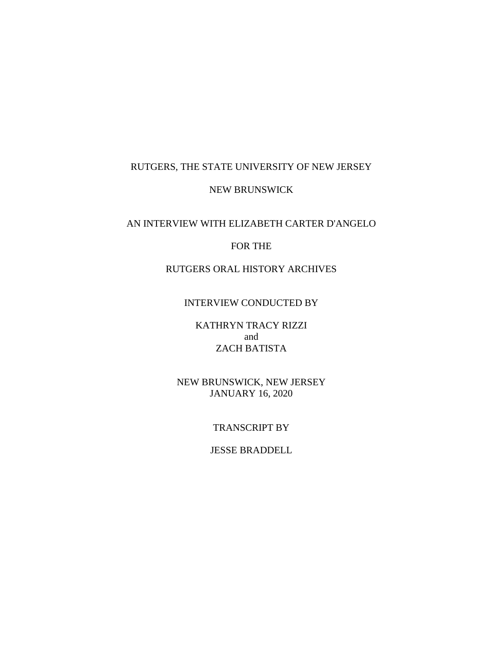# RUTGERS, THE STATE UNIVERSITY OF NEW JERSEY

# NEW BRUNSWICK

## AN INTERVIEW WITH ELIZABETH CARTER D'ANGELO

# FOR THE

# RUTGERS ORAL HISTORY ARCHIVES

## INTERVIEW CONDUCTED BY

KATHRYN TRACY RIZZI and ZACH BATISTA

NEW BRUNSWICK, NEW JERSEY JANUARY 16, 2020

## TRANSCRIPT BY

## JESSE BRADDELL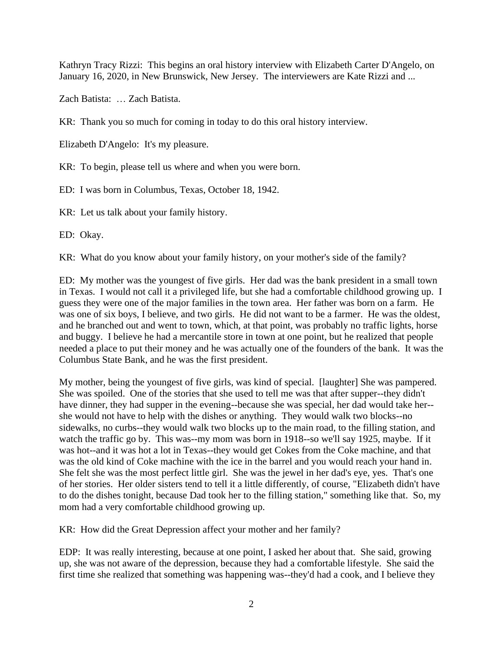Kathryn Tracy Rizzi: This begins an oral history interview with Elizabeth Carter D'Angelo, on January 16, 2020, in New Brunswick, New Jersey. The interviewers are Kate Rizzi and ...

Zach Batista: … Zach Batista.

KR: Thank you so much for coming in today to do this oral history interview.

Elizabeth D'Angelo: It's my pleasure.

KR: To begin, please tell us where and when you were born.

ED: I was born in Columbus, Texas, October 18, 1942.

KR: Let us talk about your family history.

ED: Okay.

KR: What do you know about your family history, on your mother's side of the family?

ED: My mother was the youngest of five girls. Her dad was the bank president in a small town in Texas. I would not call it a privileged life, but she had a comfortable childhood growing up. I guess they were one of the major families in the town area. Her father was born on a farm. He was one of six boys, I believe, and two girls. He did not want to be a farmer. He was the oldest, and he branched out and went to town, which, at that point, was probably no traffic lights, horse and buggy. I believe he had a mercantile store in town at one point, but he realized that people needed a place to put their money and he was actually one of the founders of the bank. It was the Columbus State Bank, and he was the first president.

My mother, being the youngest of five girls, was kind of special. [laughter] She was pampered. She was spoiled. One of the stories that she used to tell me was that after supper--they didn't have dinner, they had supper in the evening--because she was special, her dad would take her- she would not have to help with the dishes or anything. They would walk two blocks--no sidewalks, no curbs--they would walk two blocks up to the main road, to the filling station, and watch the traffic go by. This was--my mom was born in 1918--so we'll say 1925, maybe. If it was hot--and it was hot a lot in Texas--they would get Cokes from the Coke machine, and that was the old kind of Coke machine with the ice in the barrel and you would reach your hand in. She felt she was the most perfect little girl. She was the jewel in her dad's eye, yes. That's one of her stories. Her older sisters tend to tell it a little differently, of course, "Elizabeth didn't have to do the dishes tonight, because Dad took her to the filling station," something like that. So, my mom had a very comfortable childhood growing up.

KR: How did the Great Depression affect your mother and her family?

EDP: It was really interesting, because at one point, I asked her about that. She said, growing up, she was not aware of the depression, because they had a comfortable lifestyle. She said the first time she realized that something was happening was--they'd had a cook, and I believe they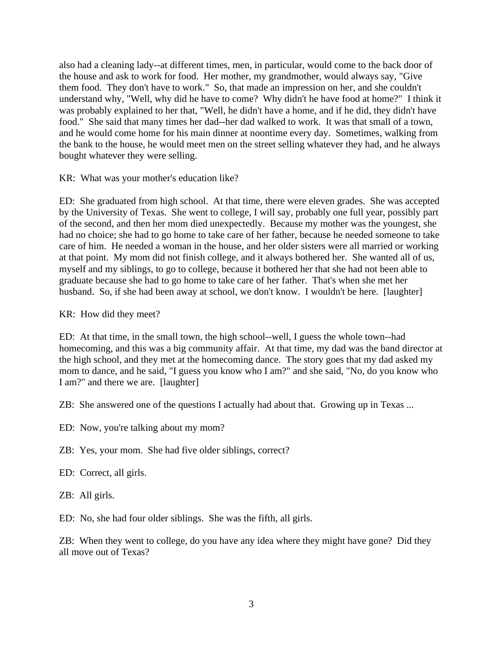also had a cleaning lady--at different times, men, in particular, would come to the back door of the house and ask to work for food. Her mother, my grandmother, would always say, "Give them food. They don't have to work." So, that made an impression on her, and she couldn't understand why, "Well, why did he have to come? Why didn't he have food at home?" I think it was probably explained to her that, "Well, he didn't have a home, and if he did, they didn't have food." She said that many times her dad--her dad walked to work. It was that small of a town, and he would come home for his main dinner at noontime every day. Sometimes, walking from the bank to the house, he would meet men on the street selling whatever they had, and he always bought whatever they were selling.

KR: What was your mother's education like?

ED: She graduated from high school. At that time, there were eleven grades. She was accepted by the University of Texas. She went to college, I will say, probably one full year, possibly part of the second, and then her mom died unexpectedly. Because my mother was the youngest, she had no choice; she had to go home to take care of her father, because he needed someone to take care of him. He needed a woman in the house, and her older sisters were all married or working at that point. My mom did not finish college, and it always bothered her. She wanted all of us, myself and my siblings, to go to college, because it bothered her that she had not been able to graduate because she had to go home to take care of her father. That's when she met her husband. So, if she had been away at school, we don't know. I wouldn't be here. [laughter]

KR: How did they meet?

ED: At that time, in the small town, the high school--well, I guess the whole town--had homecoming, and this was a big community affair. At that time, my dad was the band director at the high school, and they met at the homecoming dance. The story goes that my dad asked my mom to dance, and he said, "I guess you know who I am?" and she said, "No, do you know who I am?" and there we are. [laughter]

ZB: She answered one of the questions I actually had about that. Growing up in Texas ...

- ED: Now, you're talking about my mom?
- ZB: Yes, your mom. She had five older siblings, correct?
- ED: Correct, all girls.

ZB: All girls.

ED: No, she had four older siblings. She was the fifth, all girls.

ZB: When they went to college, do you have any idea where they might have gone? Did they all move out of Texas?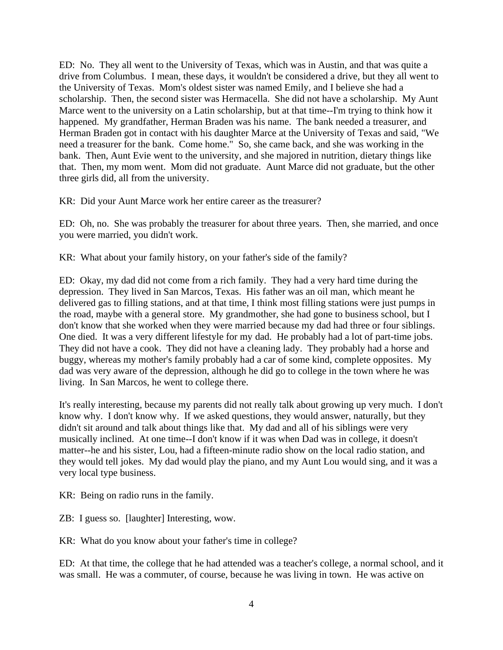ED: No. They all went to the University of Texas, which was in Austin, and that was quite a drive from Columbus. I mean, these days, it wouldn't be considered a drive, but they all went to the University of Texas. Mom's oldest sister was named Emily, and I believe she had a scholarship. Then, the second sister was Hermacella. She did not have a scholarship. My Aunt Marce went to the university on a Latin scholarship, but at that time--I'm trying to think how it happened. My grandfather, Herman Braden was his name. The bank needed a treasurer, and Herman Braden got in contact with his daughter Marce at the University of Texas and said, "We need a treasurer for the bank. Come home." So, she came back, and she was working in the bank. Then, Aunt Evie went to the university, and she majored in nutrition, dietary things like that. Then, my mom went. Mom did not graduate. Aunt Marce did not graduate, but the other three girls did, all from the university.

KR: Did your Aunt Marce work her entire career as the treasurer?

ED: Oh, no. She was probably the treasurer for about three years. Then, she married, and once you were married, you didn't work.

KR: What about your family history, on your father's side of the family?

ED: Okay, my dad did not come from a rich family. They had a very hard time during the depression. They lived in San Marcos, Texas. His father was an oil man, which meant he delivered gas to filling stations, and at that time, I think most filling stations were just pumps in the road, maybe with a general store. My grandmother, she had gone to business school, but I don't know that she worked when they were married because my dad had three or four siblings. One died. It was a very different lifestyle for my dad. He probably had a lot of part-time jobs. They did not have a cook. They did not have a cleaning lady. They probably had a horse and buggy, whereas my mother's family probably had a car of some kind, complete opposites. My dad was very aware of the depression, although he did go to college in the town where he was living. In San Marcos, he went to college there.

It's really interesting, because my parents did not really talk about growing up very much. I don't know why. I don't know why. If we asked questions, they would answer, naturally, but they didn't sit around and talk about things like that. My dad and all of his siblings were very musically inclined. At one time--I don't know if it was when Dad was in college, it doesn't matter--he and his sister, Lou, had a fifteen-minute radio show on the local radio station, and they would tell jokes. My dad would play the piano, and my Aunt Lou would sing, and it was a very local type business.

KR: Being on radio runs in the family.

ZB: I guess so. [laughter] Interesting, wow.

KR: What do you know about your father's time in college?

ED: At that time, the college that he had attended was a teacher's college, a normal school, and it was small. He was a commuter, of course, because he was living in town. He was active on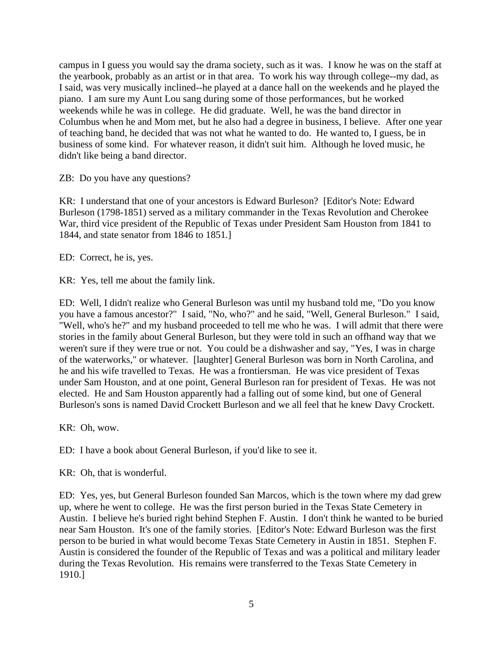campus in I guess you would say the drama society, such as it was. I know he was on the staff at the yearbook, probably as an artist or in that area. To work his way through college--my dad, as I said, was very musically inclined--he played at a dance hall on the weekends and he played the piano. I am sure my Aunt Lou sang during some of those performances, but he worked weekends while he was in college. He did graduate. Well, he was the band director in Columbus when he and Mom met, but he also had a degree in business, I believe. After one year of teaching band, he decided that was not what he wanted to do. He wanted to, I guess, be in business of some kind. For whatever reason, it didn't suit him. Although he loved music, he didn't like being a band director.

ZB: Do you have any questions?

KR: I understand that one of your ancestors is Edward Burleson? [Editor's Note: Edward Burleson (1798-1851) served as a military commander in the Texas Revolution and Cherokee War, third vice president of the Republic of Texas under President Sam Houston from 1841 to 1844, and state senator from 1846 to 1851.]

ED: Correct, he is, yes.

KR: Yes, tell me about the family link.

ED: Well, I didn't realize who General Burleson was until my husband told me, "Do you know you have a famous ancestor?" I said, "No, who?" and he said, "Well, General Burleson." I said, "Well, who's he?" and my husband proceeded to tell me who he was. I will admit that there were stories in the family about General Burleson, but they were told in such an offhand way that we weren't sure if they were true or not. You could be a dishwasher and say, "Yes, I was in charge of the waterworks," or whatever. [laughter] General Burleson was born in North Carolina, and he and his wife travelled to Texas. He was a frontiersman. He was vice president of Texas under Sam Houston, and at one point, General Burleson ran for president of Texas. He was not elected. He and Sam Houston apparently had a falling out of some kind, but one of General Burleson's sons is named David Crockett Burleson and we all feel that he knew Davy Crockett.

KR: Oh, wow.

ED: I have a book about General Burleson, if you'd like to see it.

KR: Oh, that is wonderful.

ED: Yes, yes, but General Burleson founded San Marcos, which is the town where my dad grew up, where he went to college. He was the first person buried in the Texas State Cemetery in Austin. I believe he's buried right behind Stephen F. Austin. I don't think he wanted to be buried near Sam Houston. It's one of the family stories. [Editor's Note: Edward Burleson was the first person to be buried in what would become Texas State Cemetery in Austin in 1851. Stephen F. Austin is considered the founder of the Republic of Texas and was a political and military leader during the Texas Revolution. His remains were transferred to the Texas State Cemetery in 1910.]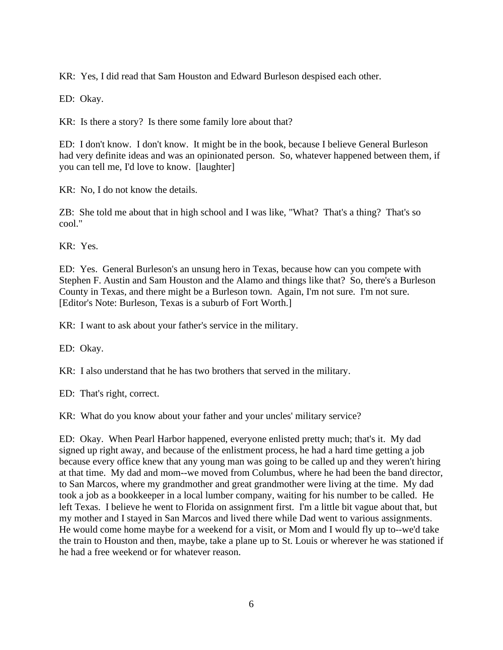KR: Yes, I did read that Sam Houston and Edward Burleson despised each other.

ED: Okay.

KR: Is there a story? Is there some family lore about that?

ED: I don't know. I don't know. It might be in the book, because I believe General Burleson had very definite ideas and was an opinionated person. So, whatever happened between them, if you can tell me, I'd love to know. [laughter]

KR: No, I do not know the details.

ZB: She told me about that in high school and I was like, "What? That's a thing? That's so cool."

KR: Yes.

ED: Yes. General Burleson's an unsung hero in Texas, because how can you compete with Stephen F. Austin and Sam Houston and the Alamo and things like that? So, there's a Burleson County in Texas, and there might be a Burleson town. Again, I'm not sure. I'm not sure. [Editor's Note: Burleson, Texas is a suburb of Fort Worth.]

KR: I want to ask about your father's service in the military.

ED: Okay.

KR: I also understand that he has two brothers that served in the military.

ED: That's right, correct.

KR: What do you know about your father and your uncles' military service?

ED: Okay. When Pearl Harbor happened, everyone enlisted pretty much; that's it. My dad signed up right away, and because of the enlistment process, he had a hard time getting a job because every office knew that any young man was going to be called up and they weren't hiring at that time. My dad and mom--we moved from Columbus, where he had been the band director, to San Marcos, where my grandmother and great grandmother were living at the time. My dad took a job as a bookkeeper in a local lumber company, waiting for his number to be called. He left Texas. I believe he went to Florida on assignment first. I'm a little bit vague about that, but my mother and I stayed in San Marcos and lived there while Dad went to various assignments. He would come home maybe for a weekend for a visit, or Mom and I would fly up to--we'd take the train to Houston and then, maybe, take a plane up to St. Louis or wherever he was stationed if he had a free weekend or for whatever reason.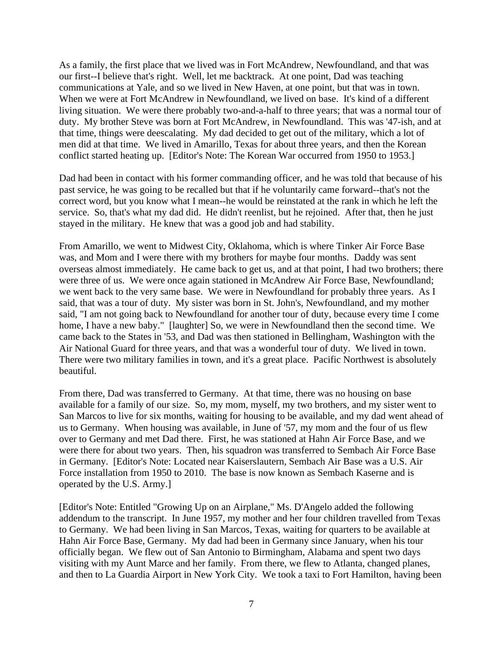As a family, the first place that we lived was in Fort McAndrew, Newfoundland, and that was our first--I believe that's right. Well, let me backtrack. At one point, Dad was teaching communications at Yale, and so we lived in New Haven, at one point, but that was in town. When we were at Fort McAndrew in Newfoundland, we lived on base. It's kind of a different living situation. We were there probably two-and-a-half to three years; that was a normal tour of duty. My brother Steve was born at Fort McAndrew, in Newfoundland. This was '47-ish, and at that time, things were deescalating. My dad decided to get out of the military, which a lot of men did at that time. We lived in Amarillo, Texas for about three years, and then the Korean conflict started heating up. [Editor's Note: The Korean War occurred from 1950 to 1953.]

Dad had been in contact with his former commanding officer, and he was told that because of his past service, he was going to be recalled but that if he voluntarily came forward--that's not the correct word, but you know what I mean--he would be reinstated at the rank in which he left the service. So, that's what my dad did. He didn't reenlist, but he rejoined. After that, then he just stayed in the military. He knew that was a good job and had stability.

From Amarillo, we went to Midwest City, Oklahoma, which is where Tinker Air Force Base was, and Mom and I were there with my brothers for maybe four months. Daddy was sent overseas almost immediately. He came back to get us, and at that point, I had two brothers; there were three of us. We were once again stationed in McAndrew Air Force Base, Newfoundland; we went back to the very same base. We were in Newfoundland for probably three years. As I said, that was a tour of duty. My sister was born in St. John's, Newfoundland, and my mother said, "I am not going back to Newfoundland for another tour of duty, because every time I come home, I have a new baby." [laughter] So, we were in Newfoundland then the second time. We came back to the States in '53, and Dad was then stationed in Bellingham, Washington with the Air National Guard for three years, and that was a wonderful tour of duty. We lived in town. There were two military families in town, and it's a great place. Pacific Northwest is absolutely beautiful.

From there, Dad was transferred to Germany. At that time, there was no housing on base available for a family of our size. So, my mom, myself, my two brothers, and my sister went to San Marcos to live for six months, waiting for housing to be available, and my dad went ahead of us to Germany. When housing was available, in June of '57, my mom and the four of us flew over to Germany and met Dad there. First, he was stationed at Hahn Air Force Base, and we were there for about two years. Then, his squadron was transferred to Sembach Air Force Base in Germany. [Editor's Note: Located near Kaiserslautern, Sembach Air Base was a U.S. Air Force installation from 1950 to 2010. The base is now known as Sembach Kaserne and is operated by the U.S. Army.]

[Editor's Note: Entitled "Growing Up on an Airplane," Ms. D'Angelo added the following addendum to the transcript. In June 1957, my mother and her four children travelled from Texas to Germany. We had been living in San Marcos, Texas, waiting for quarters to be available at Hahn Air Force Base, Germany. My dad had been in Germany since January, when his tour officially began. We flew out of San Antonio to Birmingham, Alabama and spent two days visiting with my Aunt Marce and her family. From there, we flew to Atlanta, changed planes, and then to La Guardia Airport in New York City. We took a taxi to Fort Hamilton, having been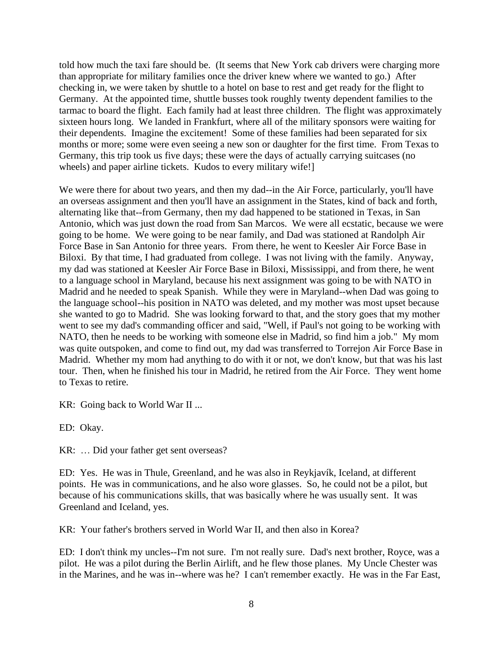told how much the taxi fare should be. (It seems that New York cab drivers were charging more than appropriate for military families once the driver knew where we wanted to go.) After checking in, we were taken by shuttle to a hotel on base to rest and get ready for the flight to Germany. At the appointed time, shuttle busses took roughly twenty dependent families to the tarmac to board the flight. Each family had at least three children. The flight was approximately sixteen hours long. We landed in Frankfurt, where all of the military sponsors were waiting for their dependents. Imagine the excitement! Some of these families had been separated for six months or more; some were even seeing a new son or daughter for the first time. From Texas to Germany, this trip took us five days; these were the days of actually carrying suitcases (no wheels) and paper airline tickets. Kudos to every military wife!]

We were there for about two years, and then my dad--in the Air Force, particularly, you'll have an overseas assignment and then you'll have an assignment in the States, kind of back and forth, alternating like that--from Germany, then my dad happened to be stationed in Texas, in San Antonio, which was just down the road from San Marcos. We were all ecstatic, because we were going to be home. We were going to be near family, and Dad was stationed at Randolph Air Force Base in San Antonio for three years. From there, he went to Keesler Air Force Base in Biloxi. By that time, I had graduated from college. I was not living with the family. Anyway, my dad was stationed at Keesler Air Force Base in Biloxi, Mississippi, and from there, he went to a language school in Maryland, because his next assignment was going to be with NATO in Madrid and he needed to speak Spanish. While they were in Maryland--when Dad was going to the language school--his position in NATO was deleted, and my mother was most upset because she wanted to go to Madrid. She was looking forward to that, and the story goes that my mother went to see my dad's commanding officer and said, "Well, if Paul's not going to be working with NATO, then he needs to be working with someone else in Madrid, so find him a job." My mom was quite outspoken, and come to find out, my dad was transferred to Torrejon Air Force Base in Madrid. Whether my mom had anything to do with it or not, we don't know, but that was his last tour. Then, when he finished his tour in Madrid, he retired from the Air Force. They went home to Texas to retire.

KR: Going back to World War II ...

ED: Okay.

KR: … Did your father get sent overseas?

ED: Yes. He was in Thule, Greenland, and he was also in Reykjavík, Iceland, at different points. He was in communications, and he also wore glasses. So, he could not be a pilot, but because of his communications skills, that was basically where he was usually sent. It was Greenland and Iceland, yes.

KR: Your father's brothers served in World War II, and then also in Korea?

ED: I don't think my uncles--I'm not sure. I'm not really sure. Dad's next brother, Royce, was a pilot. He was a pilot during the Berlin Airlift, and he flew those planes. My Uncle Chester was in the Marines, and he was in--where was he? I can't remember exactly. He was in the Far East,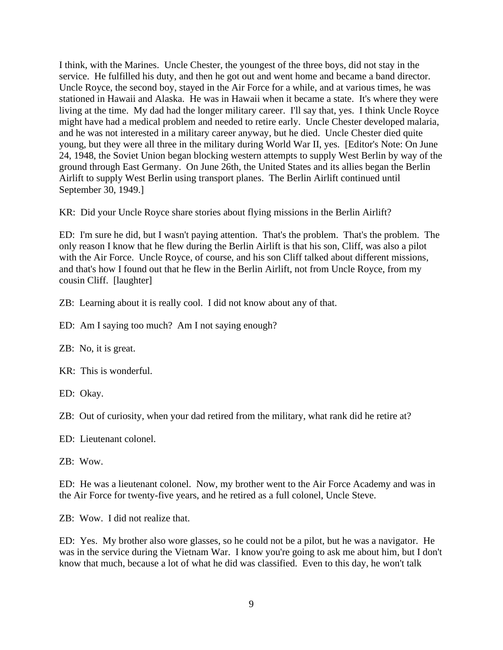I think, with the Marines. Uncle Chester, the youngest of the three boys, did not stay in the service. He fulfilled his duty, and then he got out and went home and became a band director. Uncle Royce, the second boy, stayed in the Air Force for a while, and at various times, he was stationed in Hawaii and Alaska. He was in Hawaii when it became a state. It's where they were living at the time. My dad had the longer military career. I'll say that, yes. I think Uncle Royce might have had a medical problem and needed to retire early. Uncle Chester developed malaria, and he was not interested in a military career anyway, but he died. Uncle Chester died quite young, but they were all three in the military during World War II, yes. [Editor's Note: On June 24, 1948, the Soviet Union began blocking western attempts to supply West Berlin by way of the ground through East Germany. On June 26th, the United States and its allies began the Berlin Airlift to supply West Berlin using transport planes. The Berlin Airlift continued until September 30, 1949.]

KR: Did your Uncle Royce share stories about flying missions in the Berlin Airlift?

ED: I'm sure he did, but I wasn't paying attention. That's the problem. That's the problem. The only reason I know that he flew during the Berlin Airlift is that his son, Cliff, was also a pilot with the Air Force. Uncle Royce, of course, and his son Cliff talked about different missions, and that's how I found out that he flew in the Berlin Airlift, not from Uncle Royce, from my cousin Cliff. [laughter]

ZB: Learning about it is really cool. I did not know about any of that.

ED: Am I saying too much? Am I not saying enough?

ZB: No, it is great.

KR: This is wonderful.

ED: Okay.

ZB: Out of curiosity, when your dad retired from the military, what rank did he retire at?

ED: Lieutenant colonel.

ZB: Wow.

ED: He was a lieutenant colonel. Now, my brother went to the Air Force Academy and was in the Air Force for twenty-five years, and he retired as a full colonel, Uncle Steve.

ZB: Wow. I did not realize that.

ED: Yes. My brother also wore glasses, so he could not be a pilot, but he was a navigator. He was in the service during the Vietnam War. I know you're going to ask me about him, but I don't know that much, because a lot of what he did was classified. Even to this day, he won't talk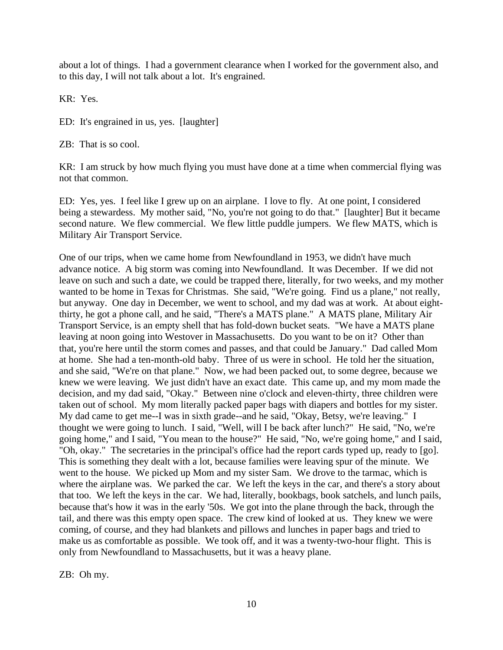about a lot of things. I had a government clearance when I worked for the government also, and to this day, I will not talk about a lot. It's engrained.

KR: Yes.

ED: It's engrained in us, yes. [laughter]

ZB: That is so cool.

KR: I am struck by how much flying you must have done at a time when commercial flying was not that common.

ED: Yes, yes. I feel like I grew up on an airplane. I love to fly. At one point, I considered being a stewardess. My mother said, "No, you're not going to do that." [laughter] But it became second nature. We flew commercial. We flew little puddle jumpers. We flew MATS, which is Military Air Transport Service.

One of our trips, when we came home from Newfoundland in 1953, we didn't have much advance notice. A big storm was coming into Newfoundland. It was December. If we did not leave on such and such a date, we could be trapped there, literally, for two weeks, and my mother wanted to be home in Texas for Christmas. She said, "We're going. Find us a plane," not really, but anyway. One day in December, we went to school, and my dad was at work. At about eightthirty, he got a phone call, and he said, "There's a MATS plane." A MATS plane, Military Air Transport Service, is an empty shell that has fold-down bucket seats. "We have a MATS plane leaving at noon going into Westover in Massachusetts. Do you want to be on it? Other than that, you're here until the storm comes and passes, and that could be January." Dad called Mom at home. She had a ten-month-old baby. Three of us were in school. He told her the situation, and she said, "We're on that plane." Now, we had been packed out, to some degree, because we knew we were leaving. We just didn't have an exact date. This came up, and my mom made the decision, and my dad said, "Okay." Between nine o'clock and eleven-thirty, three children were taken out of school. My mom literally packed paper bags with diapers and bottles for my sister. My dad came to get me--I was in sixth grade--and he said, "Okay, Betsy, we're leaving." I thought we were going to lunch. I said, "Well, will I be back after lunch?" He said, "No, we're going home," and I said, "You mean to the house?" He said, "No, we're going home," and I said, "Oh, okay." The secretaries in the principal's office had the report cards typed up, ready to [go]. This is something they dealt with a lot, because families were leaving spur of the minute. We went to the house. We picked up Mom and my sister Sam. We drove to the tarmac, which is where the airplane was. We parked the car. We left the keys in the car, and there's a story about that too. We left the keys in the car. We had, literally, bookbags, book satchels, and lunch pails, because that's how it was in the early '50s. We got into the plane through the back, through the tail, and there was this empty open space. The crew kind of looked at us. They knew we were coming, of course, and they had blankets and pillows and lunches in paper bags and tried to make us as comfortable as possible. We took off, and it was a twenty-two-hour flight. This is only from Newfoundland to Massachusetts, but it was a heavy plane.

ZB: Oh my.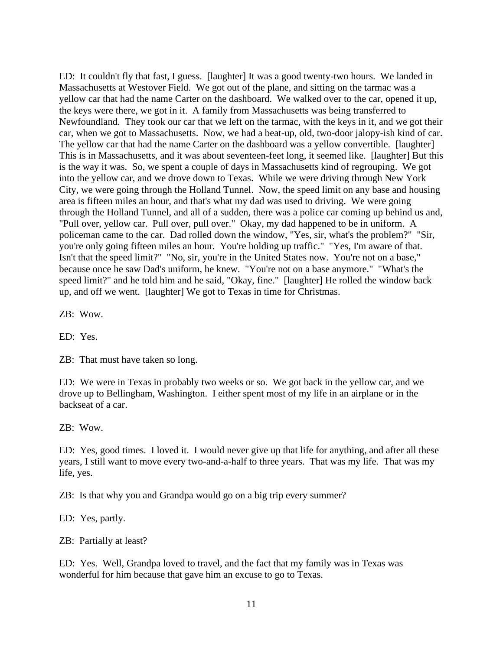ED: It couldn't fly that fast, I guess. [laughter] It was a good twenty-two hours. We landed in Massachusetts at Westover Field. We got out of the plane, and sitting on the tarmac was a yellow car that had the name Carter on the dashboard. We walked over to the car, opened it up, the keys were there, we got in it. A family from Massachusetts was being transferred to Newfoundland. They took our car that we left on the tarmac, with the keys in it, and we got their car, when we got to Massachusetts. Now, we had a beat-up, old, two-door jalopy-ish kind of car. The yellow car that had the name Carter on the dashboard was a yellow convertible. [laughter] This is in Massachusetts, and it was about seventeen-feet long, it seemed like. [laughter] But this is the way it was. So, we spent a couple of days in Massachusetts kind of regrouping. We got into the yellow car, and we drove down to Texas. While we were driving through New York City, we were going through the Holland Tunnel. Now, the speed limit on any base and housing area is fifteen miles an hour, and that's what my dad was used to driving. We were going through the Holland Tunnel, and all of a sudden, there was a police car coming up behind us and, "Pull over, yellow car. Pull over, pull over." Okay, my dad happened to be in uniform. A policeman came to the car. Dad rolled down the window, "Yes, sir, what's the problem?" "Sir, you're only going fifteen miles an hour. You're holding up traffic." "Yes, I'm aware of that. Isn't that the speed limit?" "No, sir, you're in the United States now. You're not on a base," because once he saw Dad's uniform, he knew. "You're not on a base anymore." "What's the speed limit?" and he told him and he said, "Okay, fine." [laughter] He rolled the window back up, and off we went. [laughter] We got to Texas in time for Christmas.

ZB: Wow.

ED: Yes.

ZB: That must have taken so long.

ED: We were in Texas in probably two weeks or so. We got back in the yellow car, and we drove up to Bellingham, Washington. I either spent most of my life in an airplane or in the backseat of a car.

ZB: Wow.

ED: Yes, good times. I loved it. I would never give up that life for anything, and after all these years, I still want to move every two-and-a-half to three years. That was my life. That was my life, yes.

ZB: Is that why you and Grandpa would go on a big trip every summer?

ED: Yes, partly.

ZB: Partially at least?

ED: Yes. Well, Grandpa loved to travel, and the fact that my family was in Texas was wonderful for him because that gave him an excuse to go to Texas.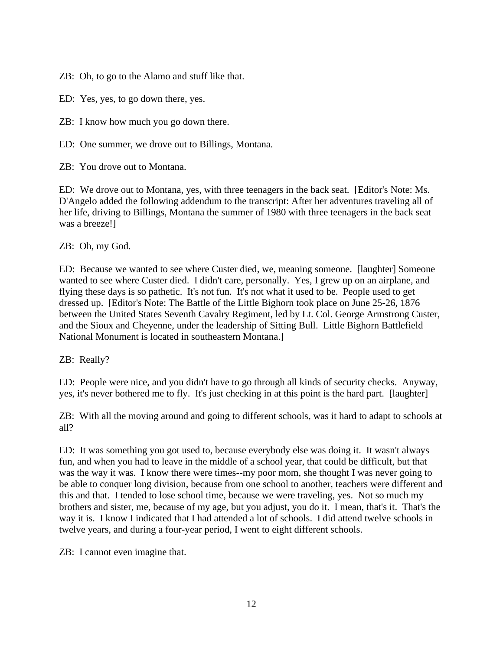ZB: Oh, to go to the Alamo and stuff like that.

ED: Yes, yes, to go down there, yes.

ZB: I know how much you go down there.

ED: One summer, we drove out to Billings, Montana.

ZB: You drove out to Montana.

ED: We drove out to Montana, yes, with three teenagers in the back seat. [Editor's Note: Ms. D'Angelo added the following addendum to the transcript: After her adventures traveling all of her life, driving to Billings, Montana the summer of 1980 with three teenagers in the back seat was a breeze!]

ZB: Oh, my God.

ED: Because we wanted to see where Custer died, we, meaning someone. [laughter] Someone wanted to see where Custer died. I didn't care, personally. Yes, I grew up on an airplane, and flying these days is so pathetic. It's not fun. It's not what it used to be. People used to get dressed up. [Editor's Note: The Battle of the Little Bighorn took place on June 25-26, 1876 between the United States Seventh Cavalry Regiment, led by Lt. Col. George Armstrong Custer, and the Sioux and Cheyenne, under the leadership of Sitting Bull. Little Bighorn Battlefield National Monument is located in southeastern Montana.]

ZB: Really?

ED: People were nice, and you didn't have to go through all kinds of security checks. Anyway, yes, it's never bothered me to fly. It's just checking in at this point is the hard part. [laughter]

ZB: With all the moving around and going to different schools, was it hard to adapt to schools at all?

ED: It was something you got used to, because everybody else was doing it. It wasn't always fun, and when you had to leave in the middle of a school year, that could be difficult, but that was the way it was. I know there were times--my poor mom, she thought I was never going to be able to conquer long division, because from one school to another, teachers were different and this and that. I tended to lose school time, because we were traveling, yes. Not so much my brothers and sister, me, because of my age, but you adjust, you do it. I mean, that's it. That's the way it is. I know I indicated that I had attended a lot of schools. I did attend twelve schools in twelve years, and during a four-year period, I went to eight different schools.

ZB: I cannot even imagine that.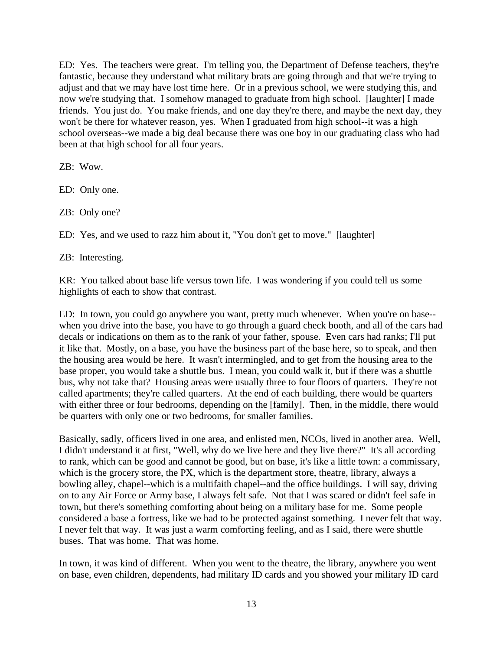ED: Yes. The teachers were great. I'm telling you, the Department of Defense teachers, they're fantastic, because they understand what military brats are going through and that we're trying to adjust and that we may have lost time here. Or in a previous school, we were studying this, and now we're studying that. I somehow managed to graduate from high school. [laughter] I made friends. You just do. You make friends, and one day they're there, and maybe the next day, they won't be there for whatever reason, yes. When I graduated from high school--it was a high school overseas--we made a big deal because there was one boy in our graduating class who had been at that high school for all four years.

ZB: Wow.

ED: Only one.

ZB: Only one?

ED: Yes, and we used to razz him about it, "You don't get to move." [laughter]

ZB: Interesting.

KR: You talked about base life versus town life. I was wondering if you could tell us some highlights of each to show that contrast.

ED: In town, you could go anywhere you want, pretty much whenever. When you're on base- when you drive into the base, you have to go through a guard check booth, and all of the cars had decals or indications on them as to the rank of your father, spouse. Even cars had ranks; I'll put it like that. Mostly, on a base, you have the business part of the base here, so to speak, and then the housing area would be here. It wasn't intermingled, and to get from the housing area to the base proper, you would take a shuttle bus. I mean, you could walk it, but if there was a shuttle bus, why not take that? Housing areas were usually three to four floors of quarters. They're not called apartments; they're called quarters. At the end of each building, there would be quarters with either three or four bedrooms, depending on the [family]. Then, in the middle, there would be quarters with only one or two bedrooms, for smaller families.

Basically, sadly, officers lived in one area, and enlisted men, NCOs, lived in another area. Well, I didn't understand it at first, "Well, why do we live here and they live there?" It's all according to rank, which can be good and cannot be good, but on base, it's like a little town: a commissary, which is the grocery store, the PX, which is the department store, theatre, library, always a bowling alley, chapel--which is a multifaith chapel--and the office buildings. I will say, driving on to any Air Force or Army base, I always felt safe. Not that I was scared or didn't feel safe in town, but there's something comforting about being on a military base for me. Some people considered a base a fortress, like we had to be protected against something. I never felt that way. I never felt that way. It was just a warm comforting feeling, and as I said, there were shuttle buses. That was home. That was home.

In town, it was kind of different. When you went to the theatre, the library, anywhere you went on base, even children, dependents, had military ID cards and you showed your military ID card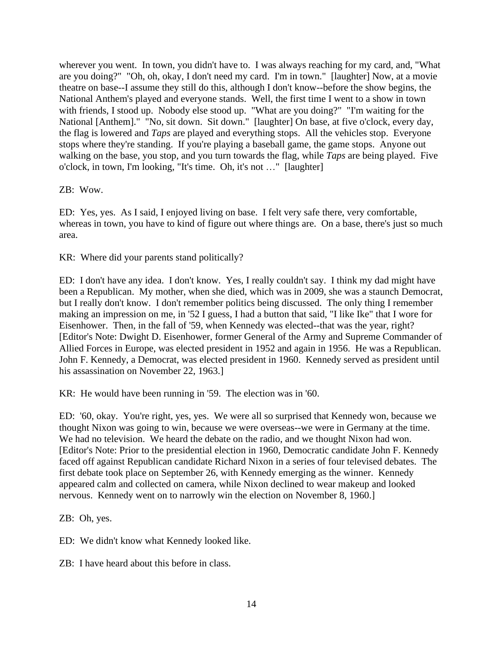wherever you went. In town, you didn't have to. I was always reaching for my card, and, "What are you doing?" "Oh, oh, okay, I don't need my card. I'm in town." [laughter] Now, at a movie theatre on base--I assume they still do this, although I don't know--before the show begins, the National Anthem's played and everyone stands. Well, the first time I went to a show in town with friends, I stood up. Nobody else stood up. "What are you doing?" "I'm waiting for the National [Anthem]." "No, sit down. Sit down." [laughter] On base, at five o'clock, every day, the flag is lowered and *Taps* are played and everything stops. All the vehicles stop. Everyone stops where they're standing. If you're playing a baseball game, the game stops. Anyone out walking on the base, you stop, and you turn towards the flag, while *Taps* are being played. Five o'clock, in town, I'm looking, "It's time. Oh, it's not …" [laughter]

ZB: Wow.

ED: Yes, yes. As I said, I enjoyed living on base. I felt very safe there, very comfortable, whereas in town, you have to kind of figure out where things are. On a base, there's just so much area.

KR: Where did your parents stand politically?

ED: I don't have any idea. I don't know. Yes, I really couldn't say. I think my dad might have been a Republican. My mother, when she died, which was in 2009, she was a staunch Democrat, but I really don't know. I don't remember politics being discussed. The only thing I remember making an impression on me, in '52 I guess, I had a button that said, "I like Ike" that I wore for Eisenhower. Then, in the fall of '59, when Kennedy was elected--that was the year, right? [Editor's Note: Dwight D. Eisenhower, former General of the Army and Supreme Commander of Allied Forces in Europe, was elected president in 1952 and again in 1956. He was a Republican. John F. Kennedy, a Democrat, was elected president in 1960. Kennedy served as president until his assassination on November 22, 1963.]

KR: He would have been running in '59. The election was in '60.

ED: '60, okay. You're right, yes, yes. We were all so surprised that Kennedy won, because we thought Nixon was going to win, because we were overseas--we were in Germany at the time. We had no television. We heard the debate on the radio, and we thought Nixon had won. [Editor's Note: Prior to the presidential election in 1960, Democratic candidate John F. Kennedy faced off against Republican candidate Richard Nixon in a series of four televised debates. The first debate took place on September 26, with Kennedy emerging as the winner. Kennedy appeared calm and collected on camera, while Nixon declined to wear makeup and looked nervous. Kennedy went on to narrowly win the election on November 8, 1960.]

ZB: Oh, yes.

ED: We didn't know what Kennedy looked like.

ZB: I have heard about this before in class.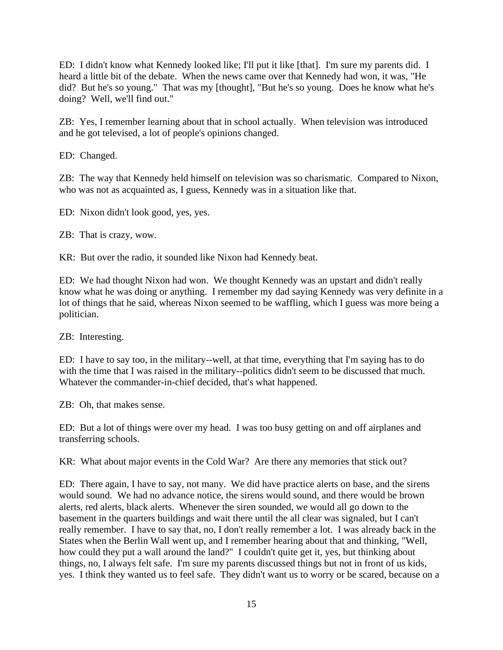ED: I didn't know what Kennedy looked like; I'll put it like [that]. I'm sure my parents did. I heard a little bit of the debate. When the news came over that Kennedy had won, it was, "He did? But he's so young." That was my [thought], "But he's so young. Does he know what he's doing? Well, we'll find out."

ZB: Yes, I remember learning about that in school actually. When television was introduced and he got televised, a lot of people's opinions changed.

ED: Changed.

ZB: The way that Kennedy held himself on television was so charismatic. Compared to Nixon, who was not as acquainted as, I guess, Kennedy was in a situation like that.

ED: Nixon didn't look good, yes, yes.

ZB: That is crazy, wow.

KR: But over the radio, it sounded like Nixon had Kennedy beat.

ED: We had thought Nixon had won. We thought Kennedy was an upstart and didn't really know what he was doing or anything. I remember my dad saying Kennedy was very definite in a lot of things that he said, whereas Nixon seemed to be waffling, which I guess was more being a politician.

ZB: Interesting.

ED: I have to say too, in the military--well, at that time, everything that I'm saying has to do with the time that I was raised in the military--politics didn't seem to be discussed that much. Whatever the commander-in-chief decided, that's what happened.

ZB: Oh, that makes sense.

ED: But a lot of things were over my head. I was too busy getting on and off airplanes and transferring schools.

KR: What about major events in the Cold War? Are there any memories that stick out?

ED: There again, I have to say, not many. We did have practice alerts on base, and the sirens would sound. We had no advance notice, the sirens would sound, and there would be brown alerts, red alerts, black alerts. Whenever the siren sounded, we would all go down to the basement in the quarters buildings and wait there until the all clear was signaled, but I can't really remember. I have to say that, no, I don't really remember a lot. I was already back in the States when the Berlin Wall went up, and I remember hearing about that and thinking, "Well, how could they put a wall around the land?" I couldn't quite get it, yes, but thinking about things, no, I always felt safe. I'm sure my parents discussed things but not in front of us kids, yes. I think they wanted us to feel safe. They didn't want us to worry or be scared, because on a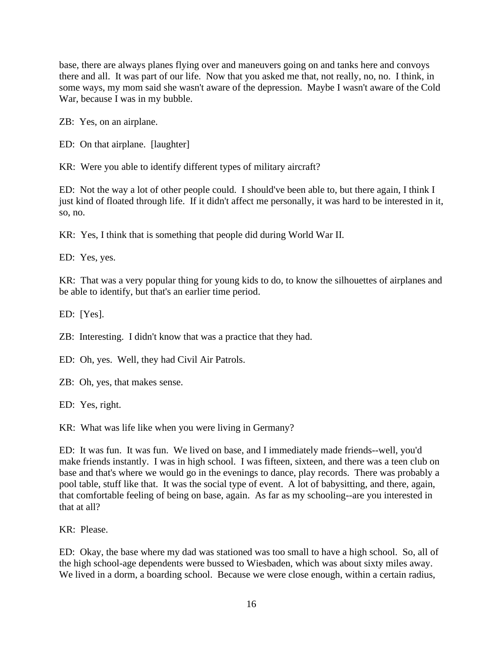base, there are always planes flying over and maneuvers going on and tanks here and convoys there and all. It was part of our life. Now that you asked me that, not really, no, no. I think, in some ways, my mom said she wasn't aware of the depression. Maybe I wasn't aware of the Cold War, because I was in my bubble.

ZB: Yes, on an airplane.

ED: On that airplane. [laughter]

KR: Were you able to identify different types of military aircraft?

ED: Not the way a lot of other people could. I should've been able to, but there again, I think I just kind of floated through life. If it didn't affect me personally, it was hard to be interested in it, so, no.

KR: Yes, I think that is something that people did during World War II.

ED: Yes, yes.

KR: That was a very popular thing for young kids to do, to know the silhouettes of airplanes and be able to identify, but that's an earlier time period.

ED: [Yes].

ZB: Interesting. I didn't know that was a practice that they had.

ED: Oh, yes. Well, they had Civil Air Patrols.

ZB: Oh, yes, that makes sense.

ED: Yes, right.

KR: What was life like when you were living in Germany?

ED: It was fun. It was fun. We lived on base, and I immediately made friends--well, you'd make friends instantly. I was in high school. I was fifteen, sixteen, and there was a teen club on base and that's where we would go in the evenings to dance, play records. There was probably a pool table, stuff like that. It was the social type of event. A lot of babysitting, and there, again, that comfortable feeling of being on base, again. As far as my schooling--are you interested in that at all?

KR: Please.

ED: Okay, the base where my dad was stationed was too small to have a high school. So, all of the high school-age dependents were bussed to Wiesbaden, which was about sixty miles away. We lived in a dorm, a boarding school. Because we were close enough, within a certain radius,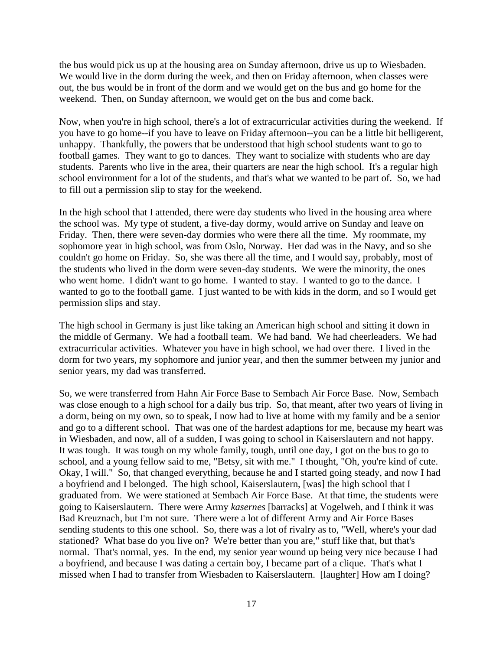the bus would pick us up at the housing area on Sunday afternoon, drive us up to Wiesbaden. We would live in the dorm during the week, and then on Friday afternoon, when classes were out, the bus would be in front of the dorm and we would get on the bus and go home for the weekend. Then, on Sunday afternoon, we would get on the bus and come back.

Now, when you're in high school, there's a lot of extracurricular activities during the weekend. If you have to go home--if you have to leave on Friday afternoon--you can be a little bit belligerent, unhappy. Thankfully, the powers that be understood that high school students want to go to football games. They want to go to dances. They want to socialize with students who are day students. Parents who live in the area, their quarters are near the high school. It's a regular high school environment for a lot of the students, and that's what we wanted to be part of. So, we had to fill out a permission slip to stay for the weekend.

In the high school that I attended, there were day students who lived in the housing area where the school was. My type of student, a five-day dormy, would arrive on Sunday and leave on Friday. Then, there were seven-day dormies who were there all the time. My roommate, my sophomore year in high school, was from Oslo, Norway. Her dad was in the Navy, and so she couldn't go home on Friday. So, she was there all the time, and I would say, probably, most of the students who lived in the dorm were seven-day students. We were the minority, the ones who went home. I didn't want to go home. I wanted to stay. I wanted to go to the dance. I wanted to go to the football game. I just wanted to be with kids in the dorm, and so I would get permission slips and stay.

The high school in Germany is just like taking an American high school and sitting it down in the middle of Germany. We had a football team. We had band. We had cheerleaders. We had extracurricular activities. Whatever you have in high school, we had over there. I lived in the dorm for two years, my sophomore and junior year, and then the summer between my junior and senior years, my dad was transferred.

So, we were transferred from Hahn Air Force Base to Sembach Air Force Base. Now, Sembach was close enough to a high school for a daily bus trip. So, that meant, after two years of living in a dorm, being on my own, so to speak, I now had to live at home with my family and be a senior and go to a different school. That was one of the hardest adaptions for me, because my heart was in Wiesbaden, and now, all of a sudden, I was going to school in Kaiserslautern and not happy. It was tough. It was tough on my whole family, tough, until one day, I got on the bus to go to school, and a young fellow said to me, "Betsy, sit with me." I thought, "Oh, you're kind of cute. Okay, I will." So, that changed everything, because he and I started going steady, and now I had a boyfriend and I belonged. The high school, Kaiserslautern, [was] the high school that I graduated from. We were stationed at Sembach Air Force Base. At that time, the students were going to Kaiserslautern. There were Army *kasernes* [barracks] at Vogelweh, and I think it was Bad Kreuznach, but I'm not sure. There were a lot of different Army and Air Force Bases sending students to this one school. So, there was a lot of rivalry as to, "Well, where's your dad stationed? What base do you live on? We're better than you are," stuff like that, but that's normal. That's normal, yes. In the end, my senior year wound up being very nice because I had a boyfriend, and because I was dating a certain boy, I became part of a clique. That's what I missed when I had to transfer from Wiesbaden to Kaiserslautern. [laughter] How am I doing?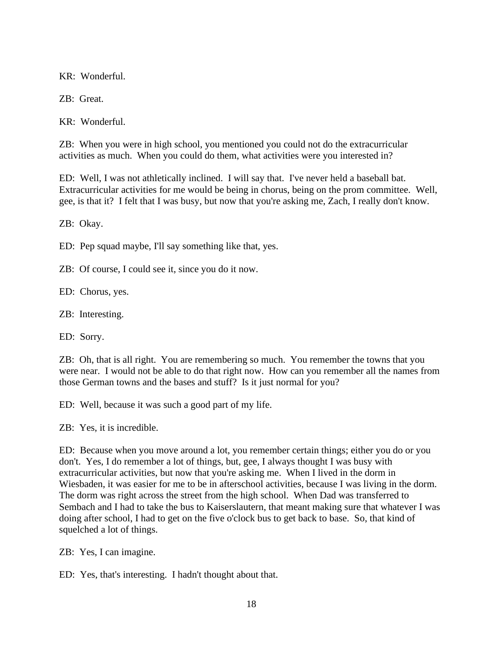KR: Wonderful.

ZB: Great.

KR: Wonderful.

ZB: When you were in high school, you mentioned you could not do the extracurricular activities as much. When you could do them, what activities were you interested in?

ED: Well, I was not athletically inclined. I will say that. I've never held a baseball bat. Extracurricular activities for me would be being in chorus, being on the prom committee. Well, gee, is that it? I felt that I was busy, but now that you're asking me, Zach, I really don't know.

ZB: Okay.

ED: Pep squad maybe, I'll say something like that, yes.

ZB: Of course, I could see it, since you do it now.

ED: Chorus, yes.

ZB: Interesting.

ED: Sorry.

ZB: Oh, that is all right. You are remembering so much. You remember the towns that you were near. I would not be able to do that right now. How can you remember all the names from those German towns and the bases and stuff? Is it just normal for you?

ED: Well, because it was such a good part of my life.

ZB: Yes, it is incredible.

ED: Because when you move around a lot, you remember certain things; either you do or you don't. Yes, I do remember a lot of things, but, gee, I always thought I was busy with extracurricular activities, but now that you're asking me. When I lived in the dorm in Wiesbaden, it was easier for me to be in afterschool activities, because I was living in the dorm. The dorm was right across the street from the high school. When Dad was transferred to Sembach and I had to take the bus to Kaiserslautern, that meant making sure that whatever I was doing after school, I had to get on the five o'clock bus to get back to base. So, that kind of squelched a lot of things.

ZB: Yes, I can imagine.

ED: Yes, that's interesting. I hadn't thought about that.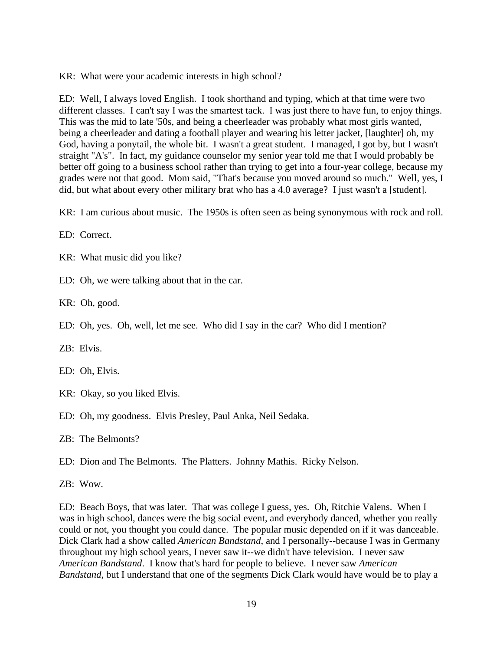KR: What were your academic interests in high school?

ED: Well, I always loved English. I took shorthand and typing, which at that time were two different classes. I can't say I was the smartest tack. I was just there to have fun, to enjoy things. This was the mid to late '50s, and being a cheerleader was probably what most girls wanted, being a cheerleader and dating a football player and wearing his letter jacket, [laughter] oh, my God, having a ponytail, the whole bit. I wasn't a great student. I managed, I got by, but I wasn't straight "A's". In fact, my guidance counselor my senior year told me that I would probably be better off going to a business school rather than trying to get into a four-year college, because my grades were not that good. Mom said, "That's because you moved around so much." Well, yes, I did, but what about every other military brat who has a 4.0 average? I just wasn't a [student].

KR: I am curious about music. The 1950s is often seen as being synonymous with rock and roll.

ED: Correct.

KR: What music did you like?

ED: Oh, we were talking about that in the car.

KR: Oh, good.

ED: Oh, yes. Oh, well, let me see. Who did I say in the car? Who did I mention?

ZB: Elvis.

ED: Oh, Elvis.

- KR: Okay, so you liked Elvis.
- ED: Oh, my goodness. Elvis Presley, Paul Anka, Neil Sedaka.

ZB: The Belmonts?

ED: Dion and The Belmonts. The Platters. Johnny Mathis. Ricky Nelson.

ZB: Wow.

ED: Beach Boys, that was later. That was college I guess, yes. Oh, Ritchie Valens. When I was in high school, dances were the big social event, and everybody danced, whether you really could or not, you thought you could dance. The popular music depended on if it was danceable. Dick Clark had a show called *American Bandstand*, and I personally--because I was in Germany throughout my high school years, I never saw it--we didn't have television. I never saw *American Bandstand*. I know that's hard for people to believe. I never saw *American Bandstand*, but I understand that one of the segments Dick Clark would have would be to play a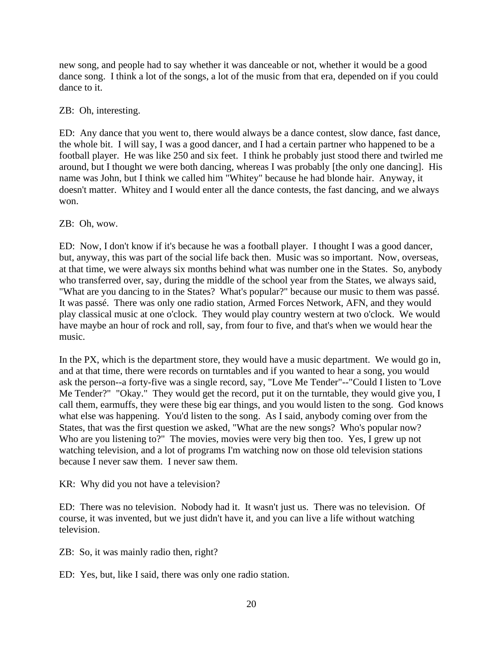new song, and people had to say whether it was danceable or not, whether it would be a good dance song. I think a lot of the songs, a lot of the music from that era, depended on if you could dance to it.

## ZB: Oh, interesting.

ED: Any dance that you went to, there would always be a dance contest, slow dance, fast dance, the whole bit. I will say, I was a good dancer, and I had a certain partner who happened to be a football player. He was like 250 and six feet. I think he probably just stood there and twirled me around, but I thought we were both dancing, whereas I was probably [the only one dancing]. His name was John, but I think we called him "Whitey" because he had blonde hair. Anyway, it doesn't matter. Whitey and I would enter all the dance contests, the fast dancing, and we always won.

## ZB: Oh, wow.

ED: Now, I don't know if it's because he was a football player. I thought I was a good dancer, but, anyway, this was part of the social life back then. Music was so important. Now, overseas, at that time, we were always six months behind what was number one in the States. So, anybody who transferred over, say, during the middle of the school year from the States, we always said, "What are you dancing to in the States? What's popular?" because our music to them was passé. It was passé. There was only one radio station, Armed Forces Network, AFN, and they would play classical music at one o'clock. They would play country western at two o'clock. We would have maybe an hour of rock and roll, say, from four to five, and that's when we would hear the music.

In the PX, which is the department store, they would have a music department. We would go in, and at that time, there were records on turntables and if you wanted to hear a song, you would ask the person--a forty-five was a single record, say, "Love Me Tender"--"Could I listen to 'Love Me Tender?" "Okay." They would get the record, put it on the turntable, they would give you, I call them, earmuffs, they were these big ear things, and you would listen to the song. God knows what else was happening. You'd listen to the song. As I said, anybody coming over from the States, that was the first question we asked, "What are the new songs? Who's popular now? Who are you listening to?" The movies, movies were very big then too. Yes, I grew up not watching television, and a lot of programs I'm watching now on those old television stations because I never saw them. I never saw them.

KR: Why did you not have a television?

ED: There was no television. Nobody had it. It wasn't just us. There was no television. Of course, it was invented, but we just didn't have it, and you can live a life without watching television.

ZB: So, it was mainly radio then, right?

ED: Yes, but, like I said, there was only one radio station.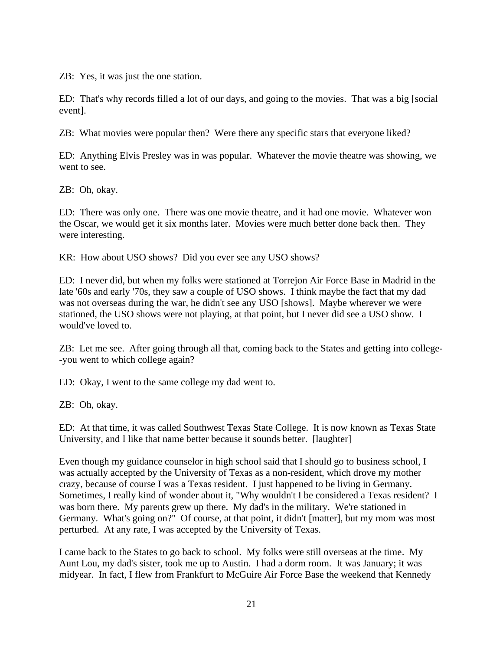ZB: Yes, it was just the one station.

ED: That's why records filled a lot of our days, and going to the movies. That was a big [social event].

ZB: What movies were popular then? Were there any specific stars that everyone liked?

ED: Anything Elvis Presley was in was popular. Whatever the movie theatre was showing, we went to see.

ZB: Oh, okay.

ED: There was only one. There was one movie theatre, and it had one movie. Whatever won the Oscar, we would get it six months later. Movies were much better done back then. They were interesting.

KR: How about USO shows? Did you ever see any USO shows?

ED: I never did, but when my folks were stationed at Torrejon Air Force Base in Madrid in the late '60s and early '70s, they saw a couple of USO shows. I think maybe the fact that my dad was not overseas during the war, he didn't see any USO [shows]. Maybe wherever we were stationed, the USO shows were not playing, at that point, but I never did see a USO show. I would've loved to.

ZB: Let me see. After going through all that, coming back to the States and getting into college- -you went to which college again?

ED: Okay, I went to the same college my dad went to.

ZB: Oh, okay.

ED: At that time, it was called Southwest Texas State College. It is now known as Texas State University, and I like that name better because it sounds better. [laughter]

Even though my guidance counselor in high school said that I should go to business school, I was actually accepted by the University of Texas as a non-resident, which drove my mother crazy, because of course I was a Texas resident. I just happened to be living in Germany. Sometimes, I really kind of wonder about it, "Why wouldn't I be considered a Texas resident? I was born there. My parents grew up there. My dad's in the military. We're stationed in Germany. What's going on?" Of course, at that point, it didn't [matter], but my mom was most perturbed. At any rate, I was accepted by the University of Texas.

I came back to the States to go back to school. My folks were still overseas at the time. My Aunt Lou, my dad's sister, took me up to Austin. I had a dorm room. It was January; it was midyear. In fact, I flew from Frankfurt to McGuire Air Force Base the weekend that Kennedy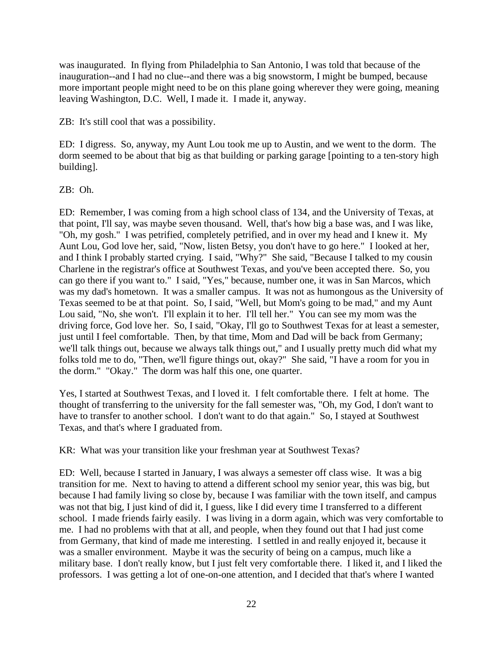was inaugurated. In flying from Philadelphia to San Antonio, I was told that because of the inauguration--and I had no clue--and there was a big snowstorm, I might be bumped, because more important people might need to be on this plane going wherever they were going, meaning leaving Washington, D.C. Well, I made it. I made it, anyway.

ZB: It's still cool that was a possibility.

ED: I digress. So, anyway, my Aunt Lou took me up to Austin, and we went to the dorm. The dorm seemed to be about that big as that building or parking garage [pointing to a ten-story high building].

ZB: Oh.

ED: Remember, I was coming from a high school class of 134, and the University of Texas, at that point, I'll say, was maybe seven thousand. Well, that's how big a base was, and I was like, "Oh, my gosh." I was petrified, completely petrified, and in over my head and I knew it. My Aunt Lou, God love her, said, "Now, listen Betsy, you don't have to go here." I looked at her, and I think I probably started crying. I said, "Why?" She said, "Because I talked to my cousin Charlene in the registrar's office at Southwest Texas, and you've been accepted there. So, you can go there if you want to." I said, "Yes," because, number one, it was in San Marcos, which was my dad's hometown. It was a smaller campus. It was not as humongous as the University of Texas seemed to be at that point. So, I said, "Well, but Mom's going to be mad," and my Aunt Lou said, "No, she won't. I'll explain it to her. I'll tell her." You can see my mom was the driving force, God love her. So, I said, "Okay, I'll go to Southwest Texas for at least a semester, just until I feel comfortable. Then, by that time, Mom and Dad will be back from Germany; we'll talk things out, because we always talk things out," and I usually pretty much did what my folks told me to do, "Then, we'll figure things out, okay?" She said, "I have a room for you in the dorm." "Okay." The dorm was half this one, one quarter.

Yes, I started at Southwest Texas, and I loved it. I felt comfortable there. I felt at home. The thought of transferring to the university for the fall semester was, "Oh, my God, I don't want to have to transfer to another school. I don't want to do that again." So, I stayed at Southwest Texas, and that's where I graduated from.

KR: What was your transition like your freshman year at Southwest Texas?

ED: Well, because I started in January, I was always a semester off class wise. It was a big transition for me. Next to having to attend a different school my senior year, this was big, but because I had family living so close by, because I was familiar with the town itself, and campus was not that big, I just kind of did it, I guess, like I did every time I transferred to a different school. I made friends fairly easily. I was living in a dorm again, which was very comfortable to me. I had no problems with that at all, and people, when they found out that I had just come from Germany, that kind of made me interesting. I settled in and really enjoyed it, because it was a smaller environment. Maybe it was the security of being on a campus, much like a military base. I don't really know, but I just felt very comfortable there. I liked it, and I liked the professors. I was getting a lot of one-on-one attention, and I decided that that's where I wanted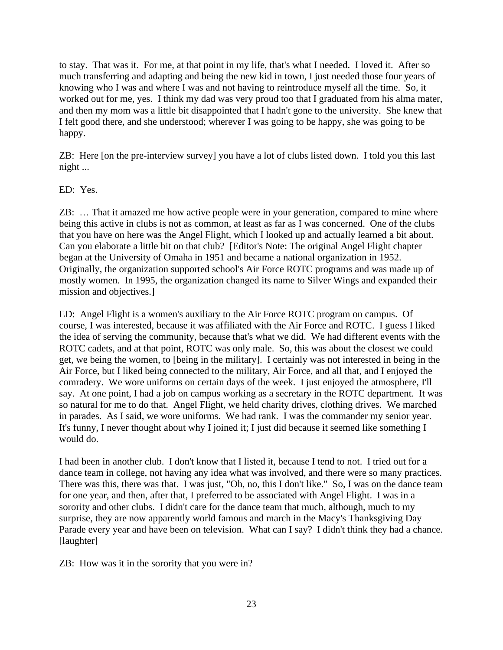to stay. That was it. For me, at that point in my life, that's what I needed. I loved it. After so much transferring and adapting and being the new kid in town, I just needed those four years of knowing who I was and where I was and not having to reintroduce myself all the time. So, it worked out for me, yes. I think my dad was very proud too that I graduated from his alma mater, and then my mom was a little bit disappointed that I hadn't gone to the university. She knew that I felt good there, and she understood; wherever I was going to be happy, she was going to be happy.

ZB: Here [on the pre-interview survey] you have a lot of clubs listed down. I told you this last night ...

# ED: Yes.

ZB: … That it amazed me how active people were in your generation, compared to mine where being this active in clubs is not as common, at least as far as I was concerned. One of the clubs that you have on here was the Angel Flight, which I looked up and actually learned a bit about. Can you elaborate a little bit on that club? [Editor's Note: The original Angel Flight chapter began at the University of Omaha in 1951 and became a national organization in 1952. Originally, the organization supported school's Air Force ROTC programs and was made up of mostly women. In 1995, the organization changed its name to Silver Wings and expanded their mission and objectives.]

ED: Angel Flight is a women's auxiliary to the Air Force ROTC program on campus. Of course, I was interested, because it was affiliated with the Air Force and ROTC. I guess I liked the idea of serving the community, because that's what we did. We had different events with the ROTC cadets, and at that point, ROTC was only male. So, this was about the closest we could get, we being the women, to [being in the military]. I certainly was not interested in being in the Air Force, but I liked being connected to the military, Air Force, and all that, and I enjoyed the comradery. We wore uniforms on certain days of the week. I just enjoyed the atmosphere, I'll say. At one point, I had a job on campus working as a secretary in the ROTC department. It was so natural for me to do that. Angel Flight, we held charity drives, clothing drives. We marched in parades. As I said, we wore uniforms. We had rank. I was the commander my senior year. It's funny, I never thought about why I joined it; I just did because it seemed like something I would do.

I had been in another club. I don't know that I listed it, because I tend to not. I tried out for a dance team in college, not having any idea what was involved, and there were so many practices. There was this, there was that. I was just, "Oh, no, this I don't like." So, I was on the dance team for one year, and then, after that, I preferred to be associated with Angel Flight. I was in a sorority and other clubs. I didn't care for the dance team that much, although, much to my surprise, they are now apparently world famous and march in the Macy's Thanksgiving Day Parade every year and have been on television. What can I say? I didn't think they had a chance. [laughter]

ZB: How was it in the sorority that you were in?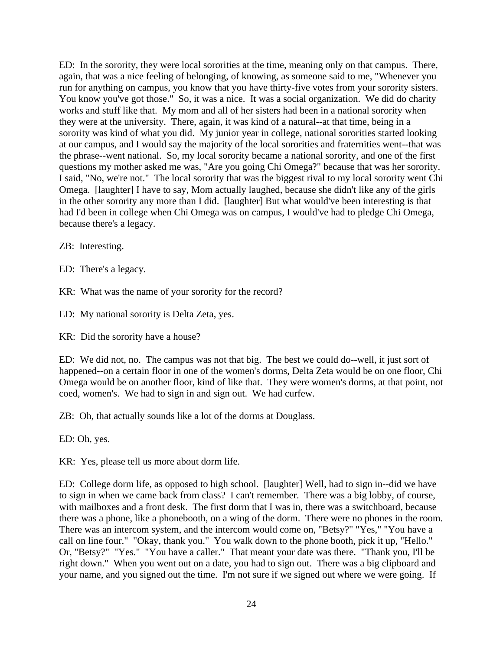ED: In the sorority, they were local sororities at the time, meaning only on that campus. There, again, that was a nice feeling of belonging, of knowing, as someone said to me, "Whenever you run for anything on campus, you know that you have thirty-five votes from your sorority sisters. You know you've got those." So, it was a nice. It was a social organization. We did do charity works and stuff like that. My mom and all of her sisters had been in a national sorority when they were at the university. There, again, it was kind of a natural--at that time, being in a sorority was kind of what you did. My junior year in college, national sororities started looking at our campus, and I would say the majority of the local sororities and fraternities went--that was the phrase--went national. So, my local sorority became a national sorority, and one of the first questions my mother asked me was, "Are you going Chi Omega?" because that was her sorority. I said, "No, we're not." The local sorority that was the biggest rival to my local sorority went Chi Omega. [laughter] I have to say, Mom actually laughed, because she didn't like any of the girls in the other sorority any more than I did. [laughter] But what would've been interesting is that had I'd been in college when Chi Omega was on campus, I would've had to pledge Chi Omega, because there's a legacy.

ZB: Interesting.

ED: There's a legacy.

KR: What was the name of your sorority for the record?

ED: My national sorority is Delta Zeta, yes.

KR: Did the sorority have a house?

ED: We did not, no. The campus was not that big. The best we could do--well, it just sort of happened--on a certain floor in one of the women's dorms, Delta Zeta would be on one floor, Chi Omega would be on another floor, kind of like that. They were women's dorms, at that point, not coed, women's. We had to sign in and sign out. We had curfew.

ZB: Oh, that actually sounds like a lot of the dorms at Douglass.

ED: Oh, yes.

KR: Yes, please tell us more about dorm life.

ED: College dorm life, as opposed to high school. [laughter] Well, had to sign in--did we have to sign in when we came back from class? I can't remember. There was a big lobby, of course, with mailboxes and a front desk. The first dorm that I was in, there was a switchboard, because there was a phone, like a phonebooth, on a wing of the dorm. There were no phones in the room. There was an intercom system, and the intercom would come on, "Betsy?" "Yes," "You have a call on line four." "Okay, thank you." You walk down to the phone booth, pick it up, "Hello." Or, "Betsy?" "Yes." "You have a caller." That meant your date was there. "Thank you, I'll be right down." When you went out on a date, you had to sign out. There was a big clipboard and your name, and you signed out the time. I'm not sure if we signed out where we were going. If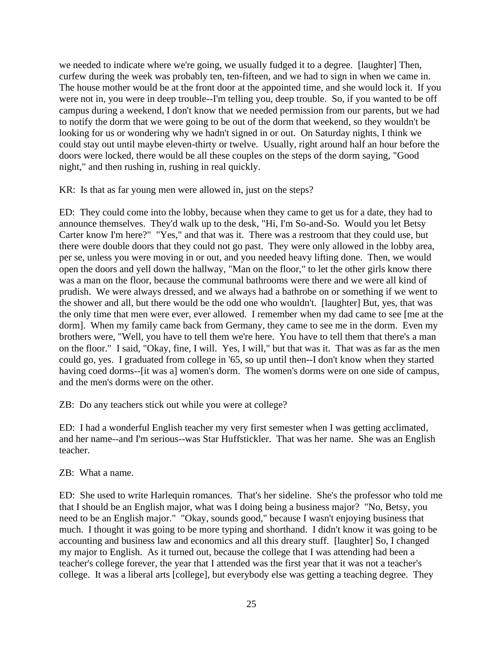we needed to indicate where we're going, we usually fudged it to a degree. [laughter] Then, curfew during the week was probably ten, ten-fifteen, and we had to sign in when we came in. The house mother would be at the front door at the appointed time, and she would lock it. If you were not in, you were in deep trouble--I'm telling you, deep trouble. So, if you wanted to be off campus during a weekend, I don't know that we needed permission from our parents, but we had to notify the dorm that we were going to be out of the dorm that weekend, so they wouldn't be looking for us or wondering why we hadn't signed in or out. On Saturday nights, I think we could stay out until maybe eleven-thirty or twelve. Usually, right around half an hour before the doors were locked, there would be all these couples on the steps of the dorm saying, "Good night," and then rushing in, rushing in real quickly.

KR: Is that as far young men were allowed in, just on the steps?

ED: They could come into the lobby, because when they came to get us for a date, they had to announce themselves. They'd walk up to the desk, "Hi, I'm So-and-So. Would you let Betsy Carter know I'm here?" "Yes," and that was it. There was a restroom that they could use, but there were double doors that they could not go past. They were only allowed in the lobby area, per se, unless you were moving in or out, and you needed heavy lifting done. Then, we would open the doors and yell down the hallway, "Man on the floor," to let the other girls know there was a man on the floor, because the communal bathrooms were there and we were all kind of prudish. We were always dressed, and we always had a bathrobe on or something if we went to the shower and all, but there would be the odd one who wouldn't. [laughter] But, yes, that was the only time that men were ever, ever allowed. I remember when my dad came to see [me at the dorm]. When my family came back from Germany, they came to see me in the dorm. Even my brothers were, "Well, you have to tell them we're here. You have to tell them that there's a man on the floor." I said, "Okay, fine, I will. Yes, I will," but that was it. That was as far as the men could go, yes. I graduated from college in '65, so up until then--I don't know when they started having coed dorms--[it was a] women's dorm. The women's dorms were on one side of campus, and the men's dorms were on the other.

ZB: Do any teachers stick out while you were at college?

ED: I had a wonderful English teacher my very first semester when I was getting acclimated, and her name--and I'm serious--was Star Huffstickler. That was her name. She was an English teacher.

ZB: What a name.

ED: She used to write Harlequin romances. That's her sideline. She's the professor who told me that I should be an English major, what was I doing being a business major? "No, Betsy, you need to be an English major." "Okay, sounds good," because I wasn't enjoying business that much. I thought it was going to be more typing and shorthand. I didn't know it was going to be accounting and business law and economics and all this dreary stuff. [laughter] So, I changed my major to English. As it turned out, because the college that I was attending had been a teacher's college forever, the year that I attended was the first year that it was not a teacher's college. It was a liberal arts [college], but everybody else was getting a teaching degree. They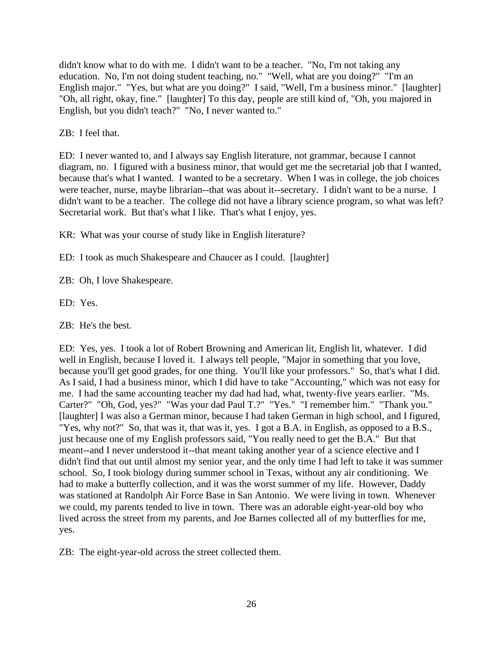didn't know what to do with me. I didn't want to be a teacher. "No, I'm not taking any education. No, I'm not doing student teaching, no." "Well, what are you doing?" "I'm an English major." "Yes, but what are you doing?" I said, "Well, I'm a business minor." [laughter] "Oh, all right, okay, fine." [laughter] To this day, people are still kind of, "Oh, you majored in English, but you didn't teach?" "No, I never wanted to."

ZB: I feel that.

ED: I never wanted to, and I always say English literature, not grammar, because I cannot diagram, no. I figured with a business minor, that would get me the secretarial job that I wanted, because that's what I wanted. I wanted to be a secretary. When I was in college, the job choices were teacher, nurse, maybe librarian--that was about it--secretary. I didn't want to be a nurse. I didn't want to be a teacher. The college did not have a library science program, so what was left? Secretarial work. But that's what I like. That's what I enjoy, yes.

KR: What was your course of study like in English literature?

ED: I took as much Shakespeare and Chaucer as I could. [laughter]

ZB: Oh, I love Shakespeare.

ED: Yes.

ZB: He's the best.

ED: Yes, yes. I took a lot of Robert Browning and American lit, English lit, whatever. I did well in English, because I loved it. I always tell people, "Major in something that you love, because you'll get good grades, for one thing. You'll like your professors." So, that's what I did. As I said, I had a business minor, which I did have to take "Accounting," which was not easy for me. I had the same accounting teacher my dad had had, what, twenty-five years earlier. "Ms. Carter?" "Oh, God, yes?" "Was your dad Paul T.?" "Yes." "I remember him." "Thank you." [laughter] I was also a German minor, because I had taken German in high school, and I figured, "Yes, why not?" So, that was it, that was it, yes. I got a B.A. in English, as opposed to a B.S., just because one of my English professors said, "You really need to get the B.A." But that meant--and I never understood it--that meant taking another year of a science elective and I didn't find that out until almost my senior year, and the only time I had left to take it was summer school. So, I took biology during summer school in Texas, without any air conditioning. We had to make a butterfly collection, and it was the worst summer of my life. However, Daddy was stationed at Randolph Air Force Base in San Antonio. We were living in town. Whenever we could, my parents tended to live in town. There was an adorable eight-year-old boy who lived across the street from my parents, and Joe Barnes collected all of my butterflies for me, yes.

ZB: The eight-year-old across the street collected them.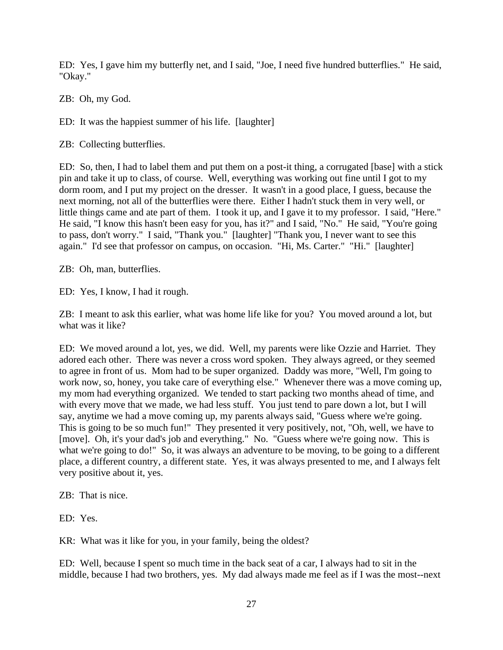ED: Yes, I gave him my butterfly net, and I said, "Joe, I need five hundred butterflies." He said, "Okay."

ZB: Oh, my God.

ED: It was the happiest summer of his life. [laughter]

ZB: Collecting butterflies.

ED: So, then, I had to label them and put them on a post-it thing, a corrugated [base] with a stick pin and take it up to class, of course. Well, everything was working out fine until I got to my dorm room, and I put my project on the dresser. It wasn't in a good place, I guess, because the next morning, not all of the butterflies were there. Either I hadn't stuck them in very well, or little things came and ate part of them. I took it up, and I gave it to my professor. I said, "Here." He said, "I know this hasn't been easy for you, has it?" and I said, "No." He said, "You're going to pass, don't worry." I said, "Thank you." [laughter] "Thank you, I never want to see this again." I'd see that professor on campus, on occasion. "Hi, Ms. Carter." "Hi." [laughter]

ZB: Oh, man, butterflies.

ED: Yes, I know, I had it rough.

ZB: I meant to ask this earlier, what was home life like for you? You moved around a lot, but what was it like?

ED: We moved around a lot, yes, we did. Well, my parents were like Ozzie and Harriet. They adored each other. There was never a cross word spoken. They always agreed, or they seemed to agree in front of us. Mom had to be super organized. Daddy was more, "Well, I'm going to work now, so, honey, you take care of everything else." Whenever there was a move coming up, my mom had everything organized. We tended to start packing two months ahead of time, and with every move that we made, we had less stuff. You just tend to pare down a lot, but I will say, anytime we had a move coming up, my parents always said, "Guess where we're going. This is going to be so much fun!" They presented it very positively, not, "Oh, well, we have to [move]. Oh, it's your dad's job and everything." No. "Guess where we're going now. This is what we're going to do!" So, it was always an adventure to be moving, to be going to a different place, a different country, a different state. Yes, it was always presented to me, and I always felt very positive about it, yes.

ZB: That is nice.

ED: Yes.

KR: What was it like for you, in your family, being the oldest?

ED: Well, because I spent so much time in the back seat of a car, I always had to sit in the middle, because I had two brothers, yes. My dad always made me feel as if I was the most--next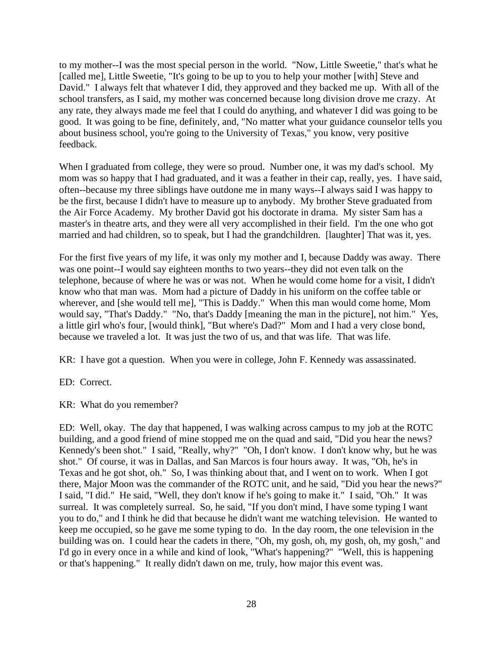to my mother--I was the most special person in the world. "Now, Little Sweetie," that's what he [called me], Little Sweetie, "It's going to be up to you to help your mother [with] Steve and David." I always felt that whatever I did, they approved and they backed me up. With all of the school transfers, as I said, my mother was concerned because long division drove me crazy. At any rate, they always made me feel that I could do anything, and whatever I did was going to be good. It was going to be fine, definitely, and, "No matter what your guidance counselor tells you about business school, you're going to the University of Texas," you know, very positive feedback.

When I graduated from college, they were so proud. Number one, it was my dad's school. My mom was so happy that I had graduated, and it was a feather in their cap, really, yes. I have said, often--because my three siblings have outdone me in many ways--I always said I was happy to be the first, because I didn't have to measure up to anybody. My brother Steve graduated from the Air Force Academy. My brother David got his doctorate in drama. My sister Sam has a master's in theatre arts, and they were all very accomplished in their field. I'm the one who got married and had children, so to speak, but I had the grandchildren. [laughter] That was it, yes.

For the first five years of my life, it was only my mother and I, because Daddy was away. There was one point--I would say eighteen months to two years--they did not even talk on the telephone, because of where he was or was not. When he would come home for a visit, I didn't know who that man was. Mom had a picture of Daddy in his uniform on the coffee table or wherever, and [she would tell me], "This is Daddy." When this man would come home, Mom would say, "That's Daddy." "No, that's Daddy [meaning the man in the picture], not him." Yes, a little girl who's four, [would think], "But where's Dad?" Mom and I had a very close bond, because we traveled a lot. It was just the two of us, and that was life. That was life.

KR: I have got a question. When you were in college, John F. Kennedy was assassinated.

ED: Correct.

KR: What do you remember?

ED: Well, okay. The day that happened, I was walking across campus to my job at the ROTC building, and a good friend of mine stopped me on the quad and said, "Did you hear the news? Kennedy's been shot." I said, "Really, why?" "Oh, I don't know. I don't know why, but he was shot." Of course, it was in Dallas, and San Marcos is four hours away. It was, "Oh, he's in Texas and he got shot, oh." So, I was thinking about that, and I went on to work. When I got there, Major Moon was the commander of the ROTC unit, and he said, "Did you hear the news?" I said, "I did." He said, "Well, they don't know if he's going to make it." I said, "Oh." It was surreal. It was completely surreal. So, he said, "If you don't mind, I have some typing I want you to do," and I think he did that because he didn't want me watching television. He wanted to keep me occupied, so he gave me some typing to do. In the day room, the one television in the building was on. I could hear the cadets in there, "Oh, my gosh, oh, my gosh, oh, my gosh," and I'd go in every once in a while and kind of look, "What's happening?" "Well, this is happening or that's happening." It really didn't dawn on me, truly, how major this event was.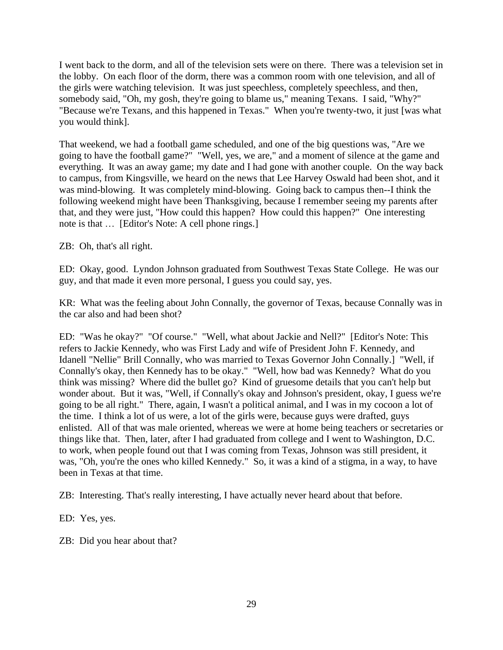I went back to the dorm, and all of the television sets were on there. There was a television set in the lobby. On each floor of the dorm, there was a common room with one television, and all of the girls were watching television. It was just speechless, completely speechless, and then, somebody said, "Oh, my gosh, they're going to blame us," meaning Texans. I said, "Why?" "Because we're Texans, and this happened in Texas." When you're twenty-two, it just [was what you would think].

That weekend, we had a football game scheduled, and one of the big questions was, "Are we going to have the football game?" "Well, yes, we are," and a moment of silence at the game and everything. It was an away game; my date and I had gone with another couple. On the way back to campus, from Kingsville, we heard on the news that Lee Harvey Oswald had been shot, and it was mind-blowing. It was completely mind-blowing. Going back to campus then--I think the following weekend might have been Thanksgiving, because I remember seeing my parents after that, and they were just, "How could this happen? How could this happen?" One interesting note is that … [Editor's Note: A cell phone rings.]

ZB: Oh, that's all right.

ED: Okay, good. Lyndon Johnson graduated from Southwest Texas State College. He was our guy, and that made it even more personal, I guess you could say, yes.

KR: What was the feeling about John Connally, the governor of Texas, because Connally was in the car also and had been shot?

ED: "Was he okay?" "Of course." "Well, what about Jackie and Nell?" [Editor's Note: This refers to Jackie Kennedy, who was First Lady and wife of President John F. Kennedy, and Idanell "Nellie" Brill Connally, who was married to Texas Governor John Connally.] "Well, if Connally's okay, then Kennedy has to be okay." "Well, how bad was Kennedy? What do you think was missing? Where did the bullet go? Kind of gruesome details that you can't help but wonder about. But it was, "Well, if Connally's okay and Johnson's president, okay, I guess we're going to be all right." There, again, I wasn't a political animal, and I was in my cocoon a lot of the time. I think a lot of us were, a lot of the girls were, because guys were drafted, guys enlisted. All of that was male oriented, whereas we were at home being teachers or secretaries or things like that. Then, later, after I had graduated from college and I went to Washington, D.C. to work, when people found out that I was coming from Texas, Johnson was still president, it was, "Oh, you're the ones who killed Kennedy." So, it was a kind of a stigma, in a way, to have been in Texas at that time.

ZB: Interesting. That's really interesting, I have actually never heard about that before.

ED: Yes, yes.

ZB: Did you hear about that?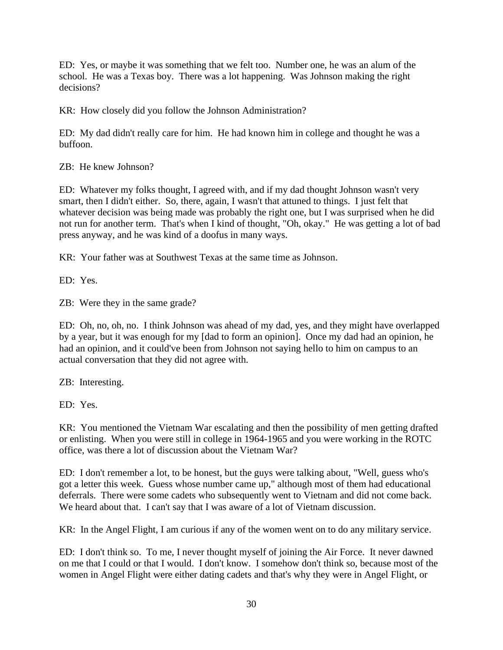ED: Yes, or maybe it was something that we felt too. Number one, he was an alum of the school. He was a Texas boy. There was a lot happening. Was Johnson making the right decisions?

KR: How closely did you follow the Johnson Administration?

ED: My dad didn't really care for him. He had known him in college and thought he was a buffoon.

ZB: He knew Johnson?

ED: Whatever my folks thought, I agreed with, and if my dad thought Johnson wasn't very smart, then I didn't either. So, there, again, I wasn't that attuned to things. I just felt that whatever decision was being made was probably the right one, but I was surprised when he did not run for another term. That's when I kind of thought, "Oh, okay." He was getting a lot of bad press anyway, and he was kind of a doofus in many ways.

KR: Your father was at Southwest Texas at the same time as Johnson.

ED: Yes.

ZB: Were they in the same grade?

ED: Oh, no, oh, no. I think Johnson was ahead of my dad, yes, and they might have overlapped by a year, but it was enough for my [dad to form an opinion]. Once my dad had an opinion, he had an opinion, and it could've been from Johnson not saying hello to him on campus to an actual conversation that they did not agree with.

ZB: Interesting.

ED: Yes.

KR: You mentioned the Vietnam War escalating and then the possibility of men getting drafted or enlisting. When you were still in college in 1964-1965 and you were working in the ROTC office, was there a lot of discussion about the Vietnam War?

ED: I don't remember a lot, to be honest, but the guys were talking about, "Well, guess who's got a letter this week. Guess whose number came up," although most of them had educational deferrals. There were some cadets who subsequently went to Vietnam and did not come back. We heard about that. I can't say that I was aware of a lot of Vietnam discussion.

KR: In the Angel Flight, I am curious if any of the women went on to do any military service.

ED: I don't think so. To me, I never thought myself of joining the Air Force. It never dawned on me that I could or that I would. I don't know. I somehow don't think so, because most of the women in Angel Flight were either dating cadets and that's why they were in Angel Flight, or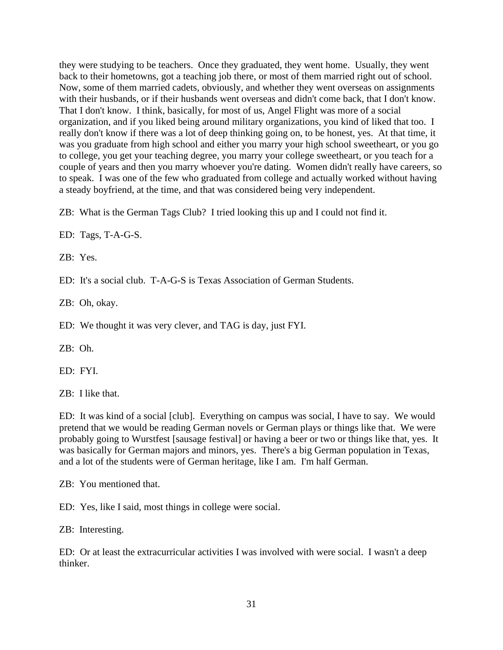they were studying to be teachers. Once they graduated, they went home. Usually, they went back to their hometowns, got a teaching job there, or most of them married right out of school. Now, some of them married cadets, obviously, and whether they went overseas on assignments with their husbands, or if their husbands went overseas and didn't come back, that I don't know. That I don't know. I think, basically, for most of us, Angel Flight was more of a social organization, and if you liked being around military organizations, you kind of liked that too. I really don't know if there was a lot of deep thinking going on, to be honest, yes. At that time, it was you graduate from high school and either you marry your high school sweetheart, or you go to college, you get your teaching degree, you marry your college sweetheart, or you teach for a couple of years and then you marry whoever you're dating. Women didn't really have careers, so to speak. I was one of the few who graduated from college and actually worked without having a steady boyfriend, at the time, and that was considered being very independent.

ZB: What is the German Tags Club? I tried looking this up and I could not find it.

ED: Tags, T-A-G-S.

ZB: Yes.

ED: It's a social club. T-A-G-S is Texas Association of German Students.

ZB: Oh, okay.

ED: We thought it was very clever, and TAG is day, just FYI.

ZB: Oh.

ED: FYI.

ZB: I like that.

ED: It was kind of a social [club]. Everything on campus was social, I have to say. We would pretend that we would be reading German novels or German plays or things like that. We were probably going to Wurstfest [sausage festival] or having a beer or two or things like that, yes. It was basically for German majors and minors, yes. There's a big German population in Texas, and a lot of the students were of German heritage, like I am. I'm half German.

ZB: You mentioned that.

ED: Yes, like I said, most things in college were social.

ZB: Interesting.

ED: Or at least the extracurricular activities I was involved with were social. I wasn't a deep thinker.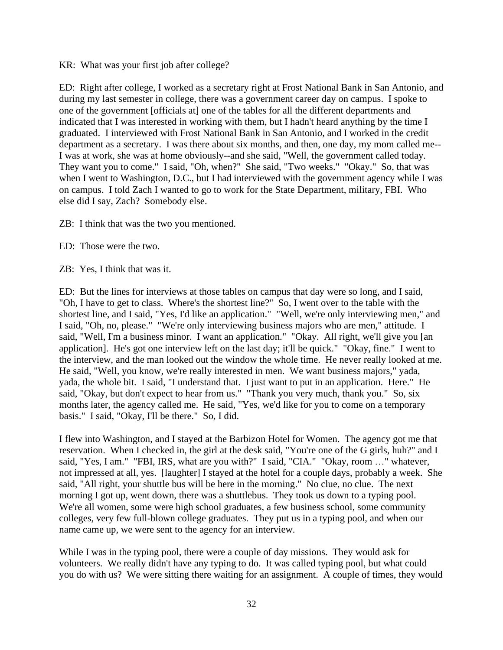KR: What was your first job after college?

ED: Right after college, I worked as a secretary right at Frost National Bank in San Antonio, and during my last semester in college, there was a government career day on campus. I spoke to one of the government [officials at] one of the tables for all the different departments and indicated that I was interested in working with them, but I hadn't heard anything by the time I graduated. I interviewed with Frost National Bank in San Antonio, and I worked in the credit department as a secretary. I was there about six months, and then, one day, my mom called me-- I was at work, she was at home obviously--and she said, "Well, the government called today. They want you to come." I said, "Oh, when?" She said, "Two weeks." "Okay." So, that was when I went to Washington, D.C., but I had interviewed with the government agency while I was on campus. I told Zach I wanted to go to work for the State Department, military, FBI. Who else did I say, Zach? Somebody else.

ZB: I think that was the two you mentioned.

ED: Those were the two.

ZB: Yes, I think that was it.

ED: But the lines for interviews at those tables on campus that day were so long, and I said, "Oh, I have to get to class. Where's the shortest line?" So, I went over to the table with the shortest line, and I said, "Yes, I'd like an application." "Well, we're only interviewing men," and I said, "Oh, no, please." "We're only interviewing business majors who are men," attitude. I said, "Well, I'm a business minor. I want an application." "Okay. All right, we'll give you [an application]. He's got one interview left on the last day; it'll be quick." "Okay, fine." I went to the interview, and the man looked out the window the whole time. He never really looked at me. He said, "Well, you know, we're really interested in men. We want business majors," yada, yada, the whole bit. I said, "I understand that. I just want to put in an application. Here." He said, "Okay, but don't expect to hear from us." "Thank you very much, thank you." So, six months later, the agency called me. He said, "Yes, we'd like for you to come on a temporary basis." I said, "Okay, I'll be there." So, I did.

I flew into Washington, and I stayed at the Barbizon Hotel for Women. The agency got me that reservation. When I checked in, the girl at the desk said, "You're one of the G girls, huh?" and I said, "Yes, I am." "FBI, IRS, what are you with?" I said, "CIA." "Okay, room …" whatever, not impressed at all, yes. [laughter] I stayed at the hotel for a couple days, probably a week. She said, "All right, your shuttle bus will be here in the morning." No clue, no clue. The next morning I got up, went down, there was a shuttlebus. They took us down to a typing pool. We're all women, some were high school graduates, a few business school, some community colleges, very few full-blown college graduates. They put us in a typing pool, and when our name came up, we were sent to the agency for an interview.

While I was in the typing pool, there were a couple of day missions. They would ask for volunteers. We really didn't have any typing to do. It was called typing pool, but what could you do with us? We were sitting there waiting for an assignment. A couple of times, they would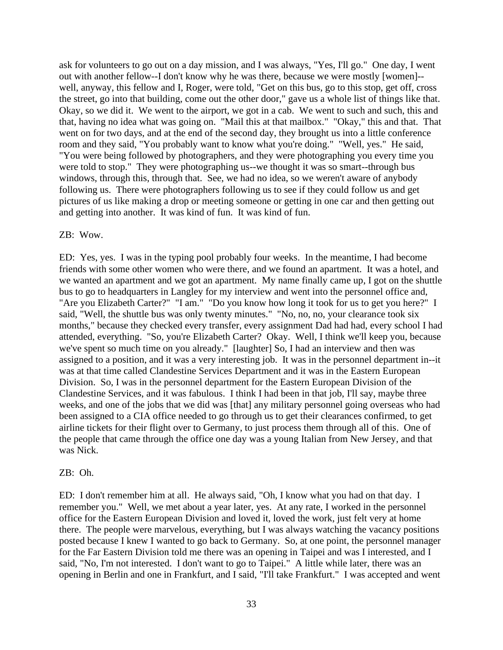ask for volunteers to go out on a day mission, and I was always, "Yes, I'll go." One day, I went out with another fellow--I don't know why he was there, because we were mostly [women]- well, anyway, this fellow and I, Roger, were told, "Get on this bus, go to this stop, get off, cross the street, go into that building, come out the other door," gave us a whole list of things like that. Okay, so we did it. We went to the airport, we got in a cab. We went to such and such, this and that, having no idea what was going on. "Mail this at that mailbox." "Okay," this and that. That went on for two days, and at the end of the second day, they brought us into a little conference room and they said, "You probably want to know what you're doing." "Well, yes." He said, "You were being followed by photographers, and they were photographing you every time you were told to stop." They were photographing us--we thought it was so smart--through bus windows, through this, through that. See, we had no idea, so we weren't aware of anybody following us. There were photographers following us to see if they could follow us and get pictures of us like making a drop or meeting someone or getting in one car and then getting out and getting into another. It was kind of fun. It was kind of fun.

#### ZB: Wow.

ED: Yes, yes. I was in the typing pool probably four weeks. In the meantime, I had become friends with some other women who were there, and we found an apartment. It was a hotel, and we wanted an apartment and we got an apartment. My name finally came up, I got on the shuttle bus to go to headquarters in Langley for my interview and went into the personnel office and, "Are you Elizabeth Carter?" "I am." "Do you know how long it took for us to get you here?" I said, "Well, the shuttle bus was only twenty minutes." "No, no, no, your clearance took six months," because they checked every transfer, every assignment Dad had had, every school I had attended, everything. "So, you're Elizabeth Carter? Okay. Well, I think we'll keep you, because we've spent so much time on you already." [laughter] So, I had an interview and then was assigned to a position, and it was a very interesting job. It was in the personnel department in--it was at that time called Clandestine Services Department and it was in the Eastern European Division. So, I was in the personnel department for the Eastern European Division of the Clandestine Services, and it was fabulous. I think I had been in that job, I'll say, maybe three weeks, and one of the jobs that we did was [that] any military personnel going overseas who had been assigned to a CIA office needed to go through us to get their clearances confirmed, to get airline tickets for their flight over to Germany, to just process them through all of this. One of the people that came through the office one day was a young Italian from New Jersey, and that was Nick.

#### ZB: Oh.

ED: I don't remember him at all. He always said, "Oh, I know what you had on that day. I remember you." Well, we met about a year later, yes. At any rate, I worked in the personnel office for the Eastern European Division and loved it, loved the work, just felt very at home there. The people were marvelous, everything, but I was always watching the vacancy positions posted because I knew I wanted to go back to Germany. So, at one point, the personnel manager for the Far Eastern Division told me there was an opening in Taipei and was I interested, and I said, "No, I'm not interested. I don't want to go to Taipei." A little while later, there was an opening in Berlin and one in Frankfurt, and I said, "I'll take Frankfurt." I was accepted and went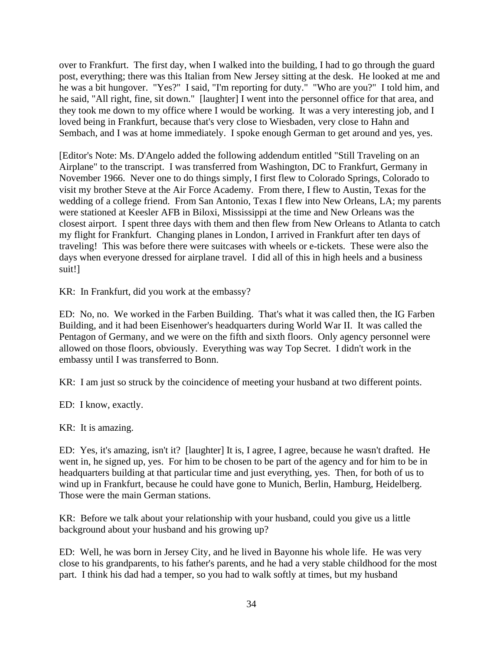over to Frankfurt. The first day, when I walked into the building, I had to go through the guard post, everything; there was this Italian from New Jersey sitting at the desk. He looked at me and he was a bit hungover. "Yes?" I said, "I'm reporting for duty." "Who are you?" I told him, and he said, "All right, fine, sit down." [laughter] I went into the personnel office for that area, and they took me down to my office where I would be working. It was a very interesting job, and I loved being in Frankfurt, because that's very close to Wiesbaden, very close to Hahn and Sembach, and I was at home immediately. I spoke enough German to get around and yes, yes.

[Editor's Note: Ms. D'Angelo added the following addendum entitled "Still Traveling on an Airplane" to the transcript. I was transferred from Washington, DC to Frankfurt, Germany in November 1966. Never one to do things simply, I first flew to Colorado Springs, Colorado to visit my brother Steve at the Air Force Academy. From there, I flew to Austin, Texas for the wedding of a college friend. From San Antonio, Texas I flew into New Orleans, LA; my parents were stationed at Keesler AFB in Biloxi, Mississippi at the time and New Orleans was the closest airport. I spent three days with them and then flew from New Orleans to Atlanta to catch my flight for Frankfurt. Changing planes in London, I arrived in Frankfurt after ten days of traveling! This was before there were suitcases with wheels or e-tickets. These were also the days when everyone dressed for airplane travel. I did all of this in high heels and a business suit!]

KR: In Frankfurt, did you work at the embassy?

ED: No, no. We worked in the Farben Building. That's what it was called then, the IG Farben Building, and it had been Eisenhower's headquarters during World War II. It was called the Pentagon of Germany, and we were on the fifth and sixth floors. Only agency personnel were allowed on those floors, obviously. Everything was way Top Secret. I didn't work in the embassy until I was transferred to Bonn.

KR: I am just so struck by the coincidence of meeting your husband at two different points.

ED: I know, exactly.

KR: It is amazing.

ED: Yes, it's amazing, isn't it? [laughter] It is, I agree, I agree, because he wasn't drafted. He went in, he signed up, yes. For him to be chosen to be part of the agency and for him to be in headquarters building at that particular time and just everything, yes. Then, for both of us to wind up in Frankfurt, because he could have gone to Munich, Berlin, Hamburg, Heidelberg. Those were the main German stations.

KR: Before we talk about your relationship with your husband, could you give us a little background about your husband and his growing up?

ED: Well, he was born in Jersey City, and he lived in Bayonne his whole life. He was very close to his grandparents, to his father's parents, and he had a very stable childhood for the most part. I think his dad had a temper, so you had to walk softly at times, but my husband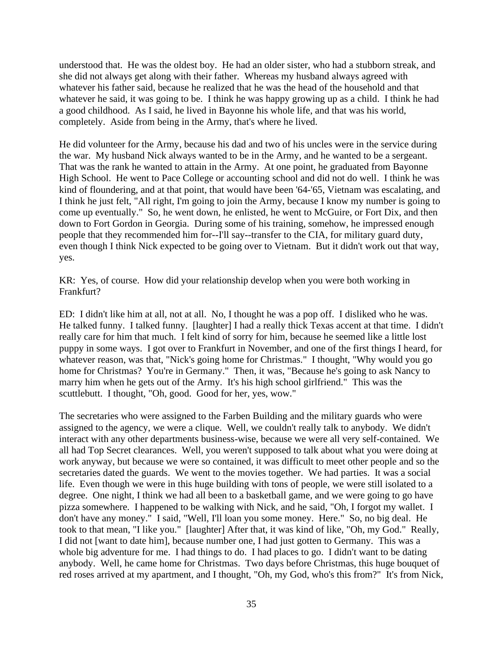understood that. He was the oldest boy. He had an older sister, who had a stubborn streak, and she did not always get along with their father. Whereas my husband always agreed with whatever his father said, because he realized that he was the head of the household and that whatever he said, it was going to be. I think he was happy growing up as a child. I think he had a good childhood. As I said, he lived in Bayonne his whole life, and that was his world, completely. Aside from being in the Army, that's where he lived.

He did volunteer for the Army, because his dad and two of his uncles were in the service during the war. My husband Nick always wanted to be in the Army, and he wanted to be a sergeant. That was the rank he wanted to attain in the Army. At one point, he graduated from Bayonne High School. He went to Pace College or accounting school and did not do well. I think he was kind of floundering, and at that point, that would have been '64-'65, Vietnam was escalating, and I think he just felt, "All right, I'm going to join the Army, because I know my number is going to come up eventually." So, he went down, he enlisted, he went to McGuire, or Fort Dix, and then down to Fort Gordon in Georgia. During some of his training, somehow, he impressed enough people that they recommended him for--I'll say--transfer to the CIA, for military guard duty, even though I think Nick expected to be going over to Vietnam. But it didn't work out that way, yes.

KR: Yes, of course. How did your relationship develop when you were both working in Frankfurt?

ED: I didn't like him at all, not at all. No, I thought he was a pop off. I disliked who he was. He talked funny. I talked funny. [laughter] I had a really thick Texas accent at that time. I didn't really care for him that much. I felt kind of sorry for him, because he seemed like a little lost puppy in some ways. I got over to Frankfurt in November, and one of the first things I heard, for whatever reason, was that, "Nick's going home for Christmas." I thought, "Why would you go home for Christmas? You're in Germany." Then, it was, "Because he's going to ask Nancy to marry him when he gets out of the Army. It's his high school girlfriend." This was the scuttlebutt. I thought, "Oh, good. Good for her, yes, wow."

The secretaries who were assigned to the Farben Building and the military guards who were assigned to the agency, we were a clique. Well, we couldn't really talk to anybody. We didn't interact with any other departments business-wise, because we were all very self-contained. We all had Top Secret clearances. Well, you weren't supposed to talk about what you were doing at work anyway, but because we were so contained, it was difficult to meet other people and so the secretaries dated the guards. We went to the movies together. We had parties. It was a social life. Even though we were in this huge building with tons of people, we were still isolated to a degree. One night, I think we had all been to a basketball game, and we were going to go have pizza somewhere. I happened to be walking with Nick, and he said, "Oh, I forgot my wallet. I don't have any money." I said, "Well, I'll loan you some money. Here." So, no big deal. He took to that mean, "I like you." [laughter] After that, it was kind of like, "Oh, my God." Really, I did not [want to date him], because number one, I had just gotten to Germany. This was a whole big adventure for me. I had things to do. I had places to go. I didn't want to be dating anybody. Well, he came home for Christmas. Two days before Christmas, this huge bouquet of red roses arrived at my apartment, and I thought, "Oh, my God, who's this from?" It's from Nick,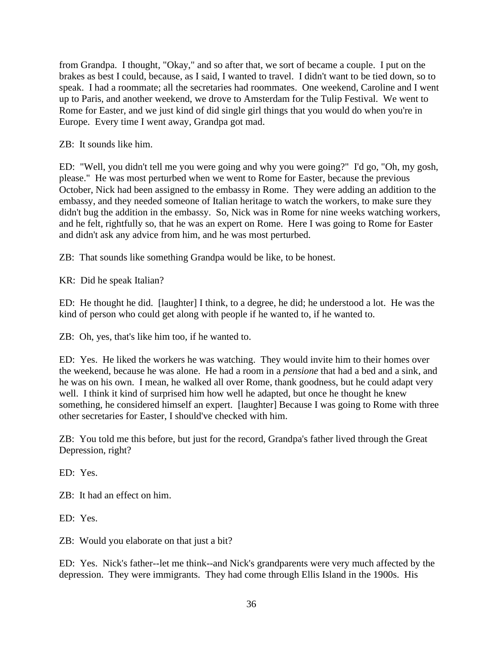from Grandpa. I thought, "Okay," and so after that, we sort of became a couple. I put on the brakes as best I could, because, as I said, I wanted to travel. I didn't want to be tied down, so to speak. I had a roommate; all the secretaries had roommates. One weekend, Caroline and I went up to Paris, and another weekend, we drove to Amsterdam for the Tulip Festival. We went to Rome for Easter, and we just kind of did single girl things that you would do when you're in Europe. Every time I went away, Grandpa got mad.

ZB: It sounds like him.

ED: "Well, you didn't tell me you were going and why you were going?" I'd go, "Oh, my gosh, please." He was most perturbed when we went to Rome for Easter, because the previous October, Nick had been assigned to the embassy in Rome. They were adding an addition to the embassy, and they needed someone of Italian heritage to watch the workers, to make sure they didn't bug the addition in the embassy. So, Nick was in Rome for nine weeks watching workers, and he felt, rightfully so, that he was an expert on Rome. Here I was going to Rome for Easter and didn't ask any advice from him, and he was most perturbed.

ZB: That sounds like something Grandpa would be like, to be honest.

KR: Did he speak Italian?

ED: He thought he did. [laughter] I think, to a degree, he did; he understood a lot. He was the kind of person who could get along with people if he wanted to, if he wanted to.

ZB: Oh, yes, that's like him too, if he wanted to.

ED: Yes. He liked the workers he was watching. They would invite him to their homes over the weekend, because he was alone. He had a room in a *pensione* that had a bed and a sink, and he was on his own. I mean, he walked all over Rome, thank goodness, but he could adapt very well. I think it kind of surprised him how well he adapted, but once he thought he knew something, he considered himself an expert. [laughter] Because I was going to Rome with three other secretaries for Easter, I should've checked with him.

ZB: You told me this before, but just for the record, Grandpa's father lived through the Great Depression, right?

ED: Yes.

ZB: It had an effect on him.

ED: Yes.

ZB: Would you elaborate on that just a bit?

ED: Yes. Nick's father--let me think--and Nick's grandparents were very much affected by the depression. They were immigrants. They had come through Ellis Island in the 1900s. His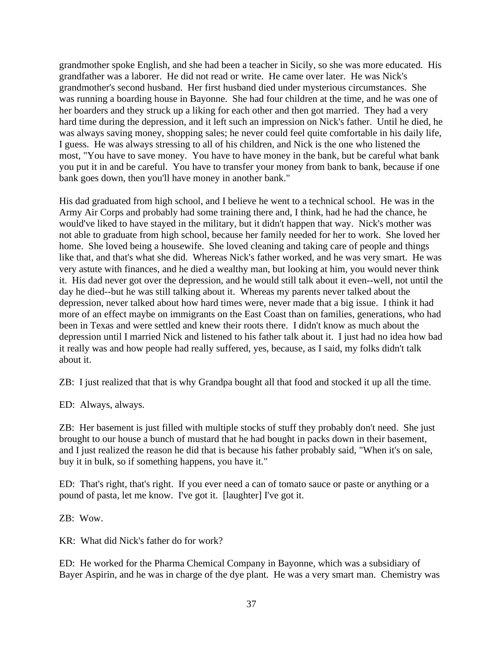grandmother spoke English, and she had been a teacher in Sicily, so she was more educated. His grandfather was a laborer. He did not read or write. He came over later. He was Nick's grandmother's second husband. Her first husband died under mysterious circumstances. She was running a boarding house in Bayonne. She had four children at the time, and he was one of her boarders and they struck up a liking for each other and then got married. They had a very hard time during the depression, and it left such an impression on Nick's father. Until he died, he was always saving money, shopping sales; he never could feel quite comfortable in his daily life, I guess. He was always stressing to all of his children, and Nick is the one who listened the most, "You have to save money. You have to have money in the bank, but be careful what bank you put it in and be careful. You have to transfer your money from bank to bank, because if one bank goes down, then you'll have money in another bank."

His dad graduated from high school, and I believe he went to a technical school. He was in the Army Air Corps and probably had some training there and, I think, had he had the chance, he would've liked to have stayed in the military, but it didn't happen that way. Nick's mother was not able to graduate from high school, because her family needed for her to work. She loved her home. She loved being a housewife. She loved cleaning and taking care of people and things like that, and that's what she did. Whereas Nick's father worked, and he was very smart. He was very astute with finances, and he died a wealthy man, but looking at him, you would never think it. His dad never got over the depression, and he would still talk about it even--well, not until the day he died--but he was still talking about it. Whereas my parents never talked about the depression, never talked about how hard times were, never made that a big issue. I think it had more of an effect maybe on immigrants on the East Coast than on families, generations, who had been in Texas and were settled and knew their roots there. I didn't know as much about the depression until I married Nick and listened to his father talk about it. I just had no idea how bad it really was and how people had really suffered, yes, because, as I said, my folks didn't talk about it.

ZB: I just realized that that is why Grandpa bought all that food and stocked it up all the time.

ED: Always, always.

ZB: Her basement is just filled with multiple stocks of stuff they probably don't need. She just brought to our house a bunch of mustard that he had bought in packs down in their basement, and I just realized the reason he did that is because his father probably said, "When it's on sale, buy it in bulk, so if something happens, you have it."

ED: That's right, that's right. If you ever need a can of tomato sauce or paste or anything or a pound of pasta, let me know. I've got it. [laughter] I've got it.

ZB: Wow.

KR: What did Nick's father do for work?

ED: He worked for the Pharma Chemical Company in Bayonne, which was a subsidiary of Bayer Aspirin, and he was in charge of the dye plant. He was a very smart man. Chemistry was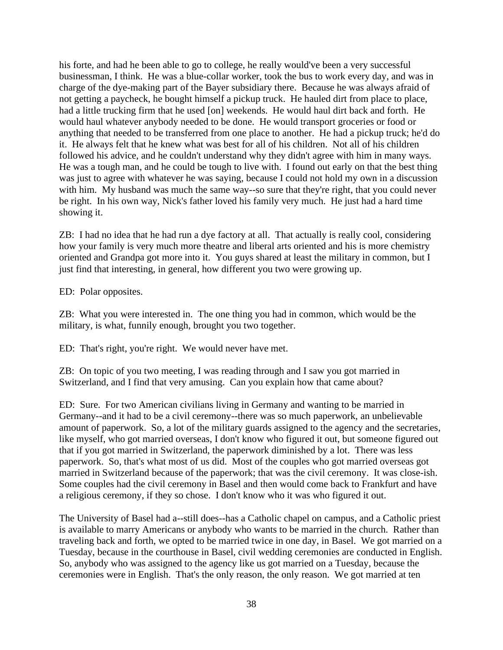his forte, and had he been able to go to college, he really would've been a very successful businessman, I think. He was a blue-collar worker, took the bus to work every day, and was in charge of the dye-making part of the Bayer subsidiary there. Because he was always afraid of not getting a paycheck, he bought himself a pickup truck. He hauled dirt from place to place, had a little trucking firm that he used [on] weekends. He would haul dirt back and forth. He would haul whatever anybody needed to be done. He would transport groceries or food or anything that needed to be transferred from one place to another. He had a pickup truck; he'd do it. He always felt that he knew what was best for all of his children. Not all of his children followed his advice, and he couldn't understand why they didn't agree with him in many ways. He was a tough man, and he could be tough to live with. I found out early on that the best thing was just to agree with whatever he was saying, because I could not hold my own in a discussion with him. My husband was much the same way--so sure that they're right, that you could never be right. In his own way, Nick's father loved his family very much. He just had a hard time showing it.

ZB: I had no idea that he had run a dye factory at all. That actually is really cool, considering how your family is very much more theatre and liberal arts oriented and his is more chemistry oriented and Grandpa got more into it. You guys shared at least the military in common, but I just find that interesting, in general, how different you two were growing up.

ED: Polar opposites.

ZB: What you were interested in. The one thing you had in common, which would be the military, is what, funnily enough, brought you two together.

ED: That's right, you're right. We would never have met.

ZB: On topic of you two meeting, I was reading through and I saw you got married in Switzerland, and I find that very amusing. Can you explain how that came about?

ED: Sure. For two American civilians living in Germany and wanting to be married in Germany--and it had to be a civil ceremony--there was so much paperwork, an unbelievable amount of paperwork. So, a lot of the military guards assigned to the agency and the secretaries, like myself, who got married overseas, I don't know who figured it out, but someone figured out that if you got married in Switzerland, the paperwork diminished by a lot. There was less paperwork. So, that's what most of us did. Most of the couples who got married overseas got married in Switzerland because of the paperwork; that was the civil ceremony. It was close-ish. Some couples had the civil ceremony in Basel and then would come back to Frankfurt and have a religious ceremony, if they so chose. I don't know who it was who figured it out.

The University of Basel had a--still does--has a Catholic chapel on campus, and a Catholic priest is available to marry Americans or anybody who wants to be married in the church. Rather than traveling back and forth, we opted to be married twice in one day, in Basel. We got married on a Tuesday, because in the courthouse in Basel, civil wedding ceremonies are conducted in English. So, anybody who was assigned to the agency like us got married on a Tuesday, because the ceremonies were in English. That's the only reason, the only reason. We got married at ten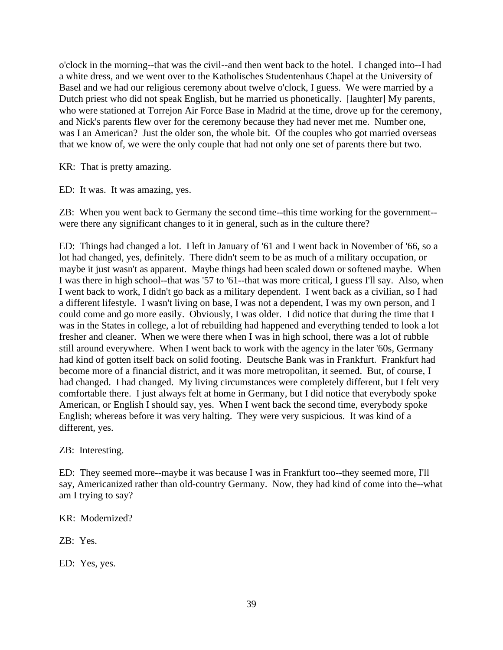o'clock in the morning--that was the civil--and then went back to the hotel. I changed into--I had a white dress, and we went over to the Katholisches Studentenhaus Chapel at the University of Basel and we had our religious ceremony about twelve o'clock, I guess. We were married by a Dutch priest who did not speak English, but he married us phonetically. [laughter] My parents, who were stationed at Torrejon Air Force Base in Madrid at the time, drove up for the ceremony, and Nick's parents flew over for the ceremony because they had never met me. Number one, was I an American? Just the older son, the whole bit. Of the couples who got married overseas that we know of, we were the only couple that had not only one set of parents there but two.

KR: That is pretty amazing.

ED: It was. It was amazing, yes.

ZB: When you went back to Germany the second time--this time working for the government- were there any significant changes to it in general, such as in the culture there?

ED: Things had changed a lot. I left in January of '61 and I went back in November of '66, so a lot had changed, yes, definitely. There didn't seem to be as much of a military occupation, or maybe it just wasn't as apparent. Maybe things had been scaled down or softened maybe. When I was there in high school--that was '57 to '61--that was more critical, I guess I'll say. Also, when I went back to work, I didn't go back as a military dependent. I went back as a civilian, so I had a different lifestyle. I wasn't living on base, I was not a dependent, I was my own person, and I could come and go more easily. Obviously, I was older. I did notice that during the time that I was in the States in college, a lot of rebuilding had happened and everything tended to look a lot fresher and cleaner. When we were there when I was in high school, there was a lot of rubble still around everywhere. When I went back to work with the agency in the later '60s, Germany had kind of gotten itself back on solid footing. Deutsche Bank was in Frankfurt. Frankfurt had become more of a financial district, and it was more metropolitan, it seemed. But, of course, I had changed. I had changed. My living circumstances were completely different, but I felt very comfortable there. I just always felt at home in Germany, but I did notice that everybody spoke American, or English I should say, yes. When I went back the second time, everybody spoke English; whereas before it was very halting. They were very suspicious. It was kind of a different, yes.

ZB: Interesting.

ED: They seemed more--maybe it was because I was in Frankfurt too--they seemed more, I'll say, Americanized rather than old-country Germany. Now, they had kind of come into the--what am I trying to say?

KR: Modernized?

ZB: Yes.

ED: Yes, yes.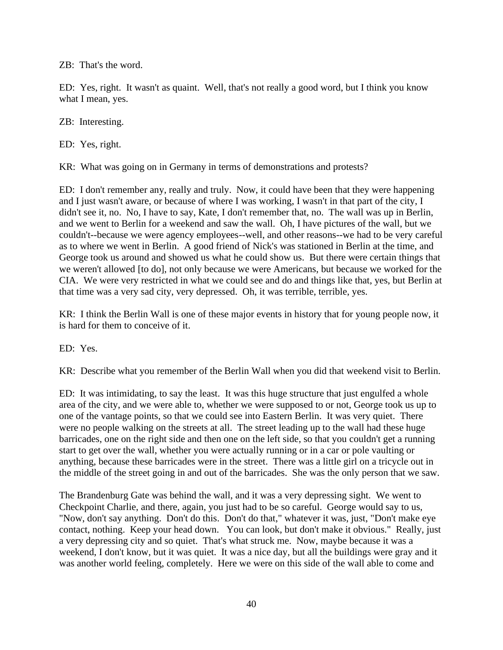ZB: That's the word.

ED: Yes, right. It wasn't as quaint. Well, that's not really a good word, but I think you know what I mean, yes.

ZB: Interesting.

ED: Yes, right.

KR: What was going on in Germany in terms of demonstrations and protests?

ED: I don't remember any, really and truly. Now, it could have been that they were happening and I just wasn't aware, or because of where I was working, I wasn't in that part of the city, I didn't see it, no. No, I have to say, Kate, I don't remember that, no. The wall was up in Berlin, and we went to Berlin for a weekend and saw the wall. Oh, I have pictures of the wall, but we couldn't--because we were agency employees--well, and other reasons--we had to be very careful as to where we went in Berlin. A good friend of Nick's was stationed in Berlin at the time, and George took us around and showed us what he could show us. But there were certain things that we weren't allowed [to do], not only because we were Americans, but because we worked for the CIA. We were very restricted in what we could see and do and things like that, yes, but Berlin at that time was a very sad city, very depressed. Oh, it was terrible, terrible, yes.

KR: I think the Berlin Wall is one of these major events in history that for young people now, it is hard for them to conceive of it.

ED: Yes.

KR: Describe what you remember of the Berlin Wall when you did that weekend visit to Berlin.

ED: It was intimidating, to say the least. It was this huge structure that just engulfed a whole area of the city, and we were able to, whether we were supposed to or not, George took us up to one of the vantage points, so that we could see into Eastern Berlin. It was very quiet. There were no people walking on the streets at all. The street leading up to the wall had these huge barricades, one on the right side and then one on the left side, so that you couldn't get a running start to get over the wall, whether you were actually running or in a car or pole vaulting or anything, because these barricades were in the street. There was a little girl on a tricycle out in the middle of the street going in and out of the barricades. She was the only person that we saw.

The Brandenburg Gate was behind the wall, and it was a very depressing sight. We went to Checkpoint Charlie, and there, again, you just had to be so careful. George would say to us, "Now, don't say anything. Don't do this. Don't do that," whatever it was, just, "Don't make eye contact, nothing. Keep your head down. You can look, but don't make it obvious." Really, just a very depressing city and so quiet. That's what struck me. Now, maybe because it was a weekend, I don't know, but it was quiet. It was a nice day, but all the buildings were gray and it was another world feeling, completely. Here we were on this side of the wall able to come and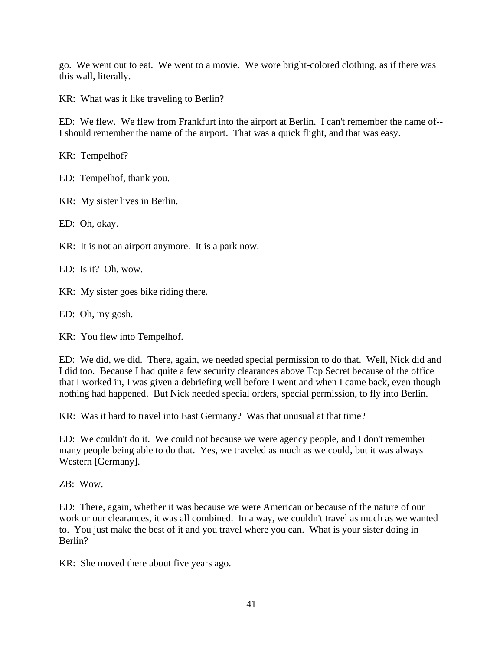go. We went out to eat. We went to a movie. We wore bright-colored clothing, as if there was this wall, literally.

KR: What was it like traveling to Berlin?

ED: We flew. We flew from Frankfurt into the airport at Berlin. I can't remember the name of-- I should remember the name of the airport. That was a quick flight, and that was easy.

KR: Tempelhof?

ED: Tempelhof, thank you.

KR: My sister lives in Berlin.

ED: Oh, okay.

KR: It is not an airport anymore. It is a park now.

ED: Is it? Oh, wow.

KR: My sister goes bike riding there.

ED: Oh, my gosh.

KR: You flew into Tempelhof.

ED: We did, we did. There, again, we needed special permission to do that. Well, Nick did and I did too. Because I had quite a few security clearances above Top Secret because of the office that I worked in, I was given a debriefing well before I went and when I came back, even though nothing had happened. But Nick needed special orders, special permission, to fly into Berlin.

KR: Was it hard to travel into East Germany? Was that unusual at that time?

ED: We couldn't do it. We could not because we were agency people, and I don't remember many people being able to do that. Yes, we traveled as much as we could, but it was always Western [Germany].

ZB: Wow.

ED: There, again, whether it was because we were American or because of the nature of our work or our clearances, it was all combined. In a way, we couldn't travel as much as we wanted to. You just make the best of it and you travel where you can. What is your sister doing in Berlin?

KR: She moved there about five years ago.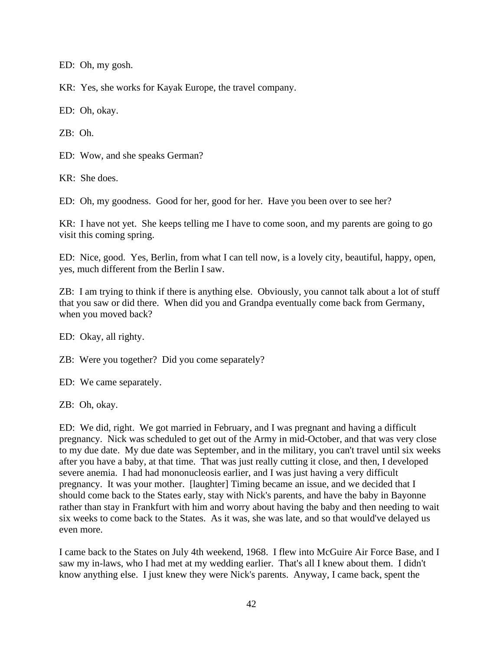ED: Oh, my gosh.

KR: Yes, she works for Kayak Europe, the travel company.

ED: Oh, okay.

ZB: Oh.

ED: Wow, and she speaks German?

KR: She does.

ED: Oh, my goodness. Good for her, good for her. Have you been over to see her?

KR: I have not yet. She keeps telling me I have to come soon, and my parents are going to go visit this coming spring.

ED: Nice, good. Yes, Berlin, from what I can tell now, is a lovely city, beautiful, happy, open, yes, much different from the Berlin I saw.

ZB: I am trying to think if there is anything else. Obviously, you cannot talk about a lot of stuff that you saw or did there. When did you and Grandpa eventually come back from Germany, when you moved back?

ED: Okay, all righty.

ZB: Were you together? Did you come separately?

ED: We came separately.

ZB: Oh, okay.

ED: We did, right. We got married in February, and I was pregnant and having a difficult pregnancy. Nick was scheduled to get out of the Army in mid-October, and that was very close to my due date. My due date was September, and in the military, you can't travel until six weeks after you have a baby, at that time. That was just really cutting it close, and then, I developed severe anemia. I had had mononucleosis earlier, and I was just having a very difficult pregnancy. It was your mother. [laughter] Timing became an issue, and we decided that I should come back to the States early, stay with Nick's parents, and have the baby in Bayonne rather than stay in Frankfurt with him and worry about having the baby and then needing to wait six weeks to come back to the States. As it was, she was late, and so that would've delayed us even more.

I came back to the States on July 4th weekend, 1968. I flew into McGuire Air Force Base, and I saw my in-laws, who I had met at my wedding earlier. That's all I knew about them. I didn't know anything else. I just knew they were Nick's parents. Anyway, I came back, spent the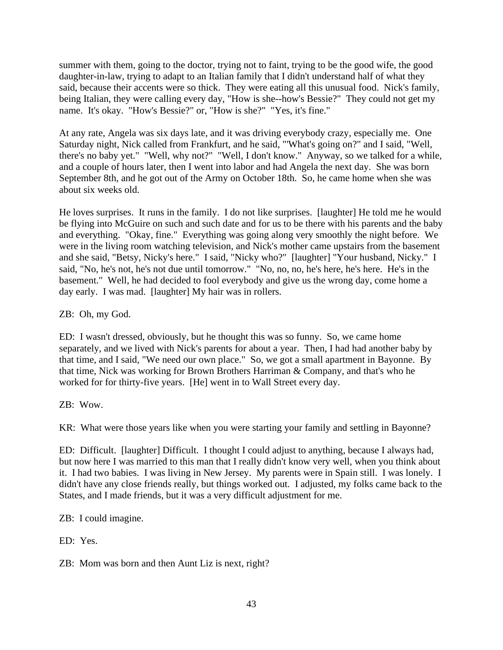summer with them, going to the doctor, trying not to faint, trying to be the good wife, the good daughter-in-law, trying to adapt to an Italian family that I didn't understand half of what they said, because their accents were so thick. They were eating all this unusual food. Nick's family, being Italian, they were calling every day, "How is she--how's Bessie?" They could not get my name. It's okay. "How's Bessie?" or, "How is she?" "Yes, it's fine."

At any rate, Angela was six days late, and it was driving everybody crazy, especially me. One Saturday night, Nick called from Frankfurt, and he said, "'What's going on?" and I said, "Well, there's no baby yet." "Well, why not?" "Well, I don't know." Anyway, so we talked for a while, and a couple of hours later, then I went into labor and had Angela the next day. She was born September 8th, and he got out of the Army on October 18th. So, he came home when she was about six weeks old.

He loves surprises. It runs in the family. I do not like surprises. [laughter] He told me he would be flying into McGuire on such and such date and for us to be there with his parents and the baby and everything. "Okay, fine." Everything was going along very smoothly the night before. We were in the living room watching television, and Nick's mother came upstairs from the basement and she said, "Betsy, Nicky's here." I said, "Nicky who?" [laughter] "Your husband, Nicky." I said, "No, he's not, he's not due until tomorrow." "No, no, no, he's here, he's here. He's in the basement." Well, he had decided to fool everybody and give us the wrong day, come home a day early. I was mad. [laughter] My hair was in rollers.

ZB: Oh, my God.

ED: I wasn't dressed, obviously, but he thought this was so funny. So, we came home separately, and we lived with Nick's parents for about a year. Then, I had had another baby by that time, and I said, "We need our own place." So, we got a small apartment in Bayonne. By that time, Nick was working for Brown Brothers Harriman & Company, and that's who he worked for for thirty-five years. [He] went in to Wall Street every day.

ZB: Wow.

KR: What were those years like when you were starting your family and settling in Bayonne?

ED: Difficult. [laughter] Difficult. I thought I could adjust to anything, because I always had, but now here I was married to this man that I really didn't know very well, when you think about it. I had two babies. I was living in New Jersey. My parents were in Spain still. I was lonely. I didn't have any close friends really, but things worked out. I adjusted, my folks came back to the States, and I made friends, but it was a very difficult adjustment for me.

ZB: I could imagine.

ED: Yes.

ZB: Mom was born and then Aunt Liz is next, right?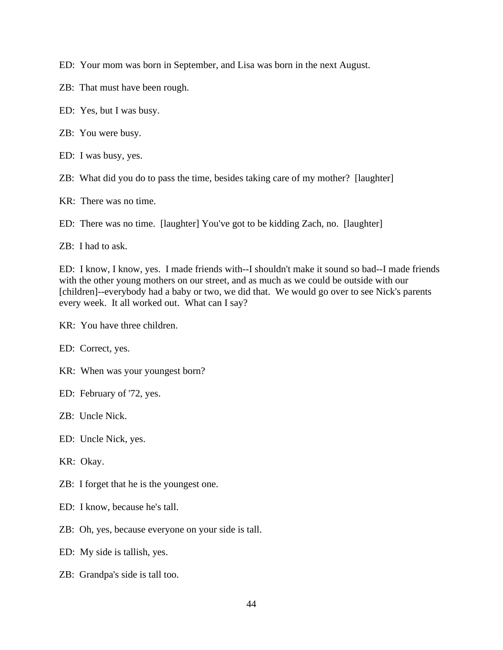ED: Your mom was born in September, and Lisa was born in the next August.

- ZB: That must have been rough.
- ED: Yes, but I was busy.
- ZB: You were busy.
- ED: I was busy, yes.
- ZB: What did you do to pass the time, besides taking care of my mother? [laughter]
- KR: There was no time.
- ED: There was no time. [laughter] You've got to be kidding Zach, no. [laughter]

ZB: I had to ask.

ED: I know, I know, yes. I made friends with--I shouldn't make it sound so bad--I made friends with the other young mothers on our street, and as much as we could be outside with our [children]--everybody had a baby or two, we did that. We would go over to see Nick's parents every week. It all worked out. What can I say?

- KR: You have three children.
- ED: Correct, yes.
- KR: When was your youngest born?
- ED: February of '72, yes.
- ZB: Uncle Nick.
- ED: Uncle Nick, yes.
- KR: Okay.
- ZB: I forget that he is the youngest one.
- ED: I know, because he's tall.
- ZB: Oh, yes, because everyone on your side is tall.
- ED: My side is tallish, yes.
- ZB: Grandpa's side is tall too.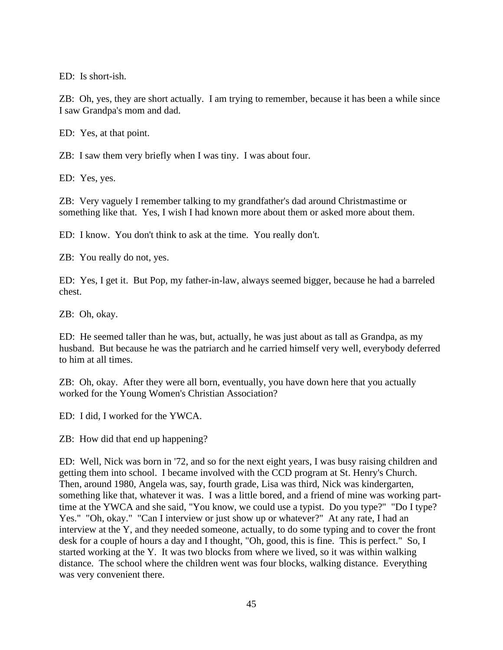ED: Is short-ish.

ZB: Oh, yes, they are short actually. I am trying to remember, because it has been a while since I saw Grandpa's mom and dad.

ED: Yes, at that point.

ZB: I saw them very briefly when I was tiny. I was about four.

ED: Yes, yes.

ZB: Very vaguely I remember talking to my grandfather's dad around Christmastime or something like that. Yes, I wish I had known more about them or asked more about them.

ED: I know. You don't think to ask at the time. You really don't.

ZB: You really do not, yes.

ED: Yes, I get it. But Pop, my father-in-law, always seemed bigger, because he had a barreled chest.

ZB: Oh, okay.

ED: He seemed taller than he was, but, actually, he was just about as tall as Grandpa, as my husband. But because he was the patriarch and he carried himself very well, everybody deferred to him at all times.

ZB: Oh, okay. After they were all born, eventually, you have down here that you actually worked for the Young Women's Christian Association?

ED: I did, I worked for the YWCA.

ZB: How did that end up happening?

ED: Well, Nick was born in '72, and so for the next eight years, I was busy raising children and getting them into school. I became involved with the CCD program at St. Henry's Church. Then, around 1980, Angela was, say, fourth grade, Lisa was third, Nick was kindergarten, something like that, whatever it was. I was a little bored, and a friend of mine was working parttime at the YWCA and she said, "You know, we could use a typist. Do you type?" "Do I type? Yes." "Oh, okay." "Can I interview or just show up or whatever?" At any rate, I had an interview at the Y, and they needed someone, actually, to do some typing and to cover the front desk for a couple of hours a day and I thought, "Oh, good, this is fine. This is perfect." So, I started working at the Y. It was two blocks from where we lived, so it was within walking distance. The school where the children went was four blocks, walking distance. Everything was very convenient there.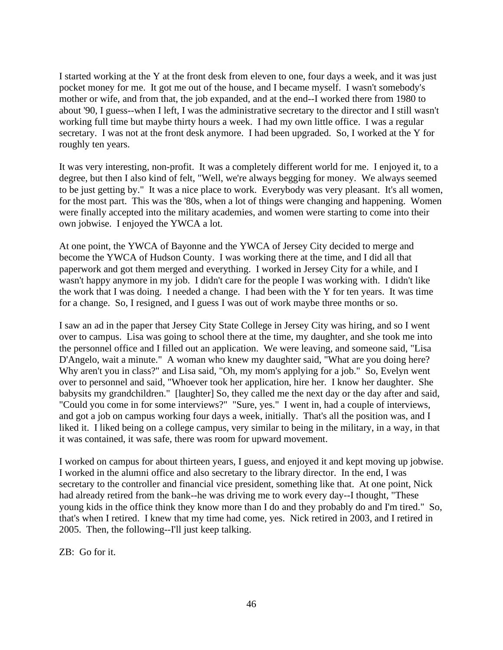I started working at the Y at the front desk from eleven to one, four days a week, and it was just pocket money for me. It got me out of the house, and I became myself. I wasn't somebody's mother or wife, and from that, the job expanded, and at the end--I worked there from 1980 to about '90, I guess--when I left, I was the administrative secretary to the director and I still wasn't working full time but maybe thirty hours a week. I had my own little office. I was a regular secretary. I was not at the front desk anymore. I had been upgraded. So, I worked at the Y for roughly ten years.

It was very interesting, non-profit. It was a completely different world for me. I enjoyed it, to a degree, but then I also kind of felt, "Well, we're always begging for money. We always seemed to be just getting by." It was a nice place to work. Everybody was very pleasant. It's all women, for the most part. This was the '80s, when a lot of things were changing and happening. Women were finally accepted into the military academies, and women were starting to come into their own jobwise. I enjoyed the YWCA a lot.

At one point, the YWCA of Bayonne and the YWCA of Jersey City decided to merge and become the YWCA of Hudson County. I was working there at the time, and I did all that paperwork and got them merged and everything. I worked in Jersey City for a while, and I wasn't happy anymore in my job. I didn't care for the people I was working with. I didn't like the work that I was doing. I needed a change. I had been with the Y for ten years. It was time for a change. So, I resigned, and I guess I was out of work maybe three months or so.

I saw an ad in the paper that Jersey City State College in Jersey City was hiring, and so I went over to campus. Lisa was going to school there at the time, my daughter, and she took me into the personnel office and I filled out an application. We were leaving, and someone said, "Lisa D'Angelo, wait a minute." A woman who knew my daughter said, "What are you doing here? Why aren't you in class?" and Lisa said, "Oh, my mom's applying for a job." So, Evelyn went over to personnel and said, "Whoever took her application, hire her. I know her daughter. She babysits my grandchildren." [laughter] So, they called me the next day or the day after and said, "Could you come in for some interviews?" "Sure, yes." I went in, had a couple of interviews, and got a job on campus working four days a week, initially. That's all the position was, and I liked it. I liked being on a college campus, very similar to being in the military, in a way, in that it was contained, it was safe, there was room for upward movement.

I worked on campus for about thirteen years, I guess, and enjoyed it and kept moving up jobwise. I worked in the alumni office and also secretary to the library director. In the end, I was secretary to the controller and financial vice president, something like that. At one point, Nick had already retired from the bank--he was driving me to work every day--I thought, "These young kids in the office think they know more than I do and they probably do and I'm tired." So, that's when I retired. I knew that my time had come, yes. Nick retired in 2003, and I retired in 2005. Then, the following--I'll just keep talking.

ZB: Go for it.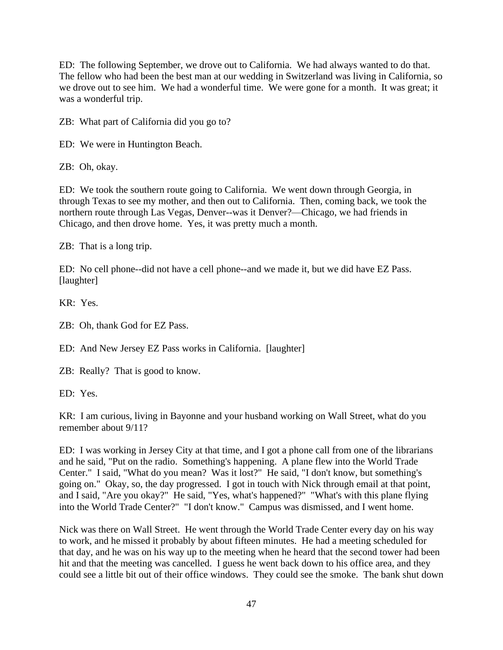ED: The following September, we drove out to California. We had always wanted to do that. The fellow who had been the best man at our wedding in Switzerland was living in California, so we drove out to see him. We had a wonderful time. We were gone for a month. It was great; it was a wonderful trip.

ZB: What part of California did you go to?

ED: We were in Huntington Beach.

ZB: Oh, okay.

ED: We took the southern route going to California. We went down through Georgia, in through Texas to see my mother, and then out to California. Then, coming back, we took the northern route through Las Vegas, Denver--was it Denver?—Chicago, we had friends in Chicago, and then drove home. Yes, it was pretty much a month.

ZB: That is a long trip.

ED: No cell phone--did not have a cell phone--and we made it, but we did have EZ Pass. [laughter]

KR: Yes.

ZB: Oh, thank God for EZ Pass.

ED: And New Jersey EZ Pass works in California. [laughter]

ZB: Really? That is good to know.

ED: Yes.

KR: I am curious, living in Bayonne and your husband working on Wall Street, what do you remember about 9/11?

ED: I was working in Jersey City at that time, and I got a phone call from one of the librarians and he said, "Put on the radio. Something's happening. A plane flew into the World Trade Center." I said, "What do you mean? Was it lost?" He said, "I don't know, but something's going on." Okay, so, the day progressed. I got in touch with Nick through email at that point, and I said, "Are you okay?" He said, "Yes, what's happened?" "What's with this plane flying into the World Trade Center?" "I don't know." Campus was dismissed, and I went home.

Nick was there on Wall Street. He went through the World Trade Center every day on his way to work, and he missed it probably by about fifteen minutes. He had a meeting scheduled for that day, and he was on his way up to the meeting when he heard that the second tower had been hit and that the meeting was cancelled. I guess he went back down to his office area, and they could see a little bit out of their office windows. They could see the smoke. The bank shut down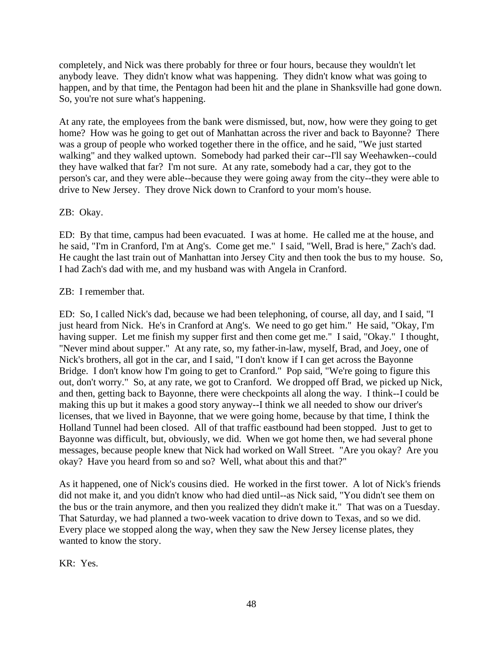completely, and Nick was there probably for three or four hours, because they wouldn't let anybody leave. They didn't know what was happening. They didn't know what was going to happen, and by that time, the Pentagon had been hit and the plane in Shanksville had gone down. So, you're not sure what's happening.

At any rate, the employees from the bank were dismissed, but, now, how were they going to get home? How was he going to get out of Manhattan across the river and back to Bayonne? There was a group of people who worked together there in the office, and he said, "We just started walking" and they walked uptown. Somebody had parked their car--I'll say Weehawken--could they have walked that far? I'm not sure. At any rate, somebody had a car, they got to the person's car, and they were able--because they were going away from the city--they were able to drive to New Jersey. They drove Nick down to Cranford to your mom's house.

## ZB: Okay.

ED: By that time, campus had been evacuated. I was at home. He called me at the house, and he said, "I'm in Cranford, I'm at Ang's. Come get me." I said, "Well, Brad is here," Zach's dad. He caught the last train out of Manhattan into Jersey City and then took the bus to my house. So, I had Zach's dad with me, and my husband was with Angela in Cranford.

## ZB: I remember that.

ED: So, I called Nick's dad, because we had been telephoning, of course, all day, and I said, "I just heard from Nick. He's in Cranford at Ang's. We need to go get him." He said, "Okay, I'm having supper. Let me finish my supper first and then come get me." I said, "Okay." I thought, "Never mind about supper." At any rate, so, my father-in-law, myself, Brad, and Joey, one of Nick's brothers, all got in the car, and I said, "I don't know if I can get across the Bayonne Bridge. I don't know how I'm going to get to Cranford." Pop said, "We're going to figure this out, don't worry." So, at any rate, we got to Cranford. We dropped off Brad, we picked up Nick, and then, getting back to Bayonne, there were checkpoints all along the way. I think--I could be making this up but it makes a good story anyway--I think we all needed to show our driver's licenses, that we lived in Bayonne, that we were going home, because by that time, I think the Holland Tunnel had been closed. All of that traffic eastbound had been stopped. Just to get to Bayonne was difficult, but, obviously, we did. When we got home then, we had several phone messages, because people knew that Nick had worked on Wall Street. "Are you okay? Are you okay? Have you heard from so and so? Well, what about this and that?"

As it happened, one of Nick's cousins died. He worked in the first tower. A lot of Nick's friends did not make it, and you didn't know who had died until--as Nick said, "You didn't see them on the bus or the train anymore, and then you realized they didn't make it." That was on a Tuesday. That Saturday, we had planned a two-week vacation to drive down to Texas, and so we did. Every place we stopped along the way, when they saw the New Jersey license plates, they wanted to know the story.

KR: Yes.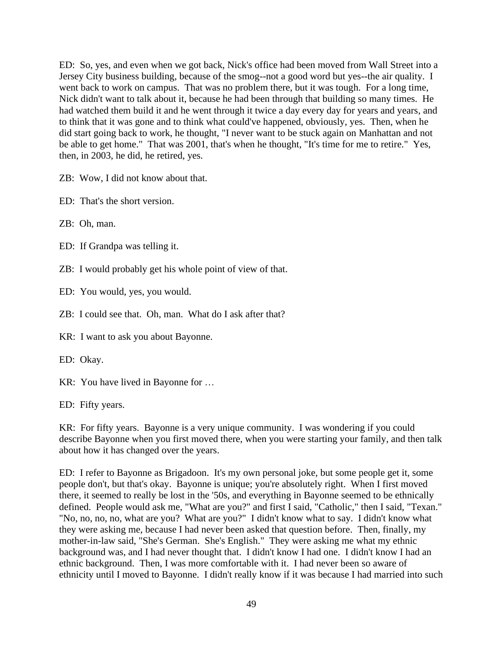ED: So, yes, and even when we got back, Nick's office had been moved from Wall Street into a Jersey City business building, because of the smog--not a good word but yes--the air quality. I went back to work on campus. That was no problem there, but it was tough. For a long time, Nick didn't want to talk about it, because he had been through that building so many times. He had watched them build it and he went through it twice a day every day for years and years, and to think that it was gone and to think what could've happened, obviously, yes. Then, when he did start going back to work, he thought, "I never want to be stuck again on Manhattan and not be able to get home." That was 2001, that's when he thought, "It's time for me to retire." Yes, then, in 2003, he did, he retired, yes.

ZB: Wow, I did not know about that.

ED: That's the short version.

ZB: Oh, man.

ED: If Grandpa was telling it.

ZB: I would probably get his whole point of view of that.

ED: You would, yes, you would.

ZB: I could see that. Oh, man. What do I ask after that?

KR: I want to ask you about Bayonne.

ED: Okay.

KR: You have lived in Bayonne for …

ED: Fifty years.

KR: For fifty years. Bayonne is a very unique community. I was wondering if you could describe Bayonne when you first moved there, when you were starting your family, and then talk about how it has changed over the years.

ED: I refer to Bayonne as Brigadoon. It's my own personal joke, but some people get it, some people don't, but that's okay. Bayonne is unique; you're absolutely right. When I first moved there, it seemed to really be lost in the '50s, and everything in Bayonne seemed to be ethnically defined. People would ask me, "What are you?" and first I said, "Catholic," then I said, "Texan." "No, no, no, no, what are you? What are you?" I didn't know what to say. I didn't know what they were asking me, because I had never been asked that question before. Then, finally, my mother-in-law said, "She's German. She's English." They were asking me what my ethnic background was, and I had never thought that. I didn't know I had one. I didn't know I had an ethnic background. Then, I was more comfortable with it. I had never been so aware of ethnicity until I moved to Bayonne. I didn't really know if it was because I had married into such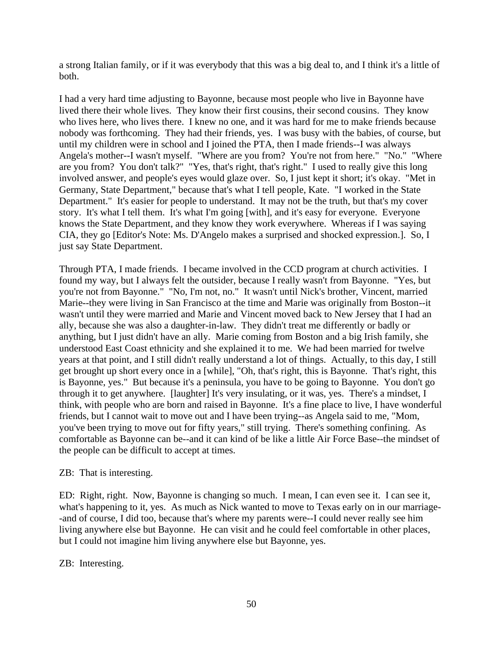a strong Italian family, or if it was everybody that this was a big deal to, and I think it's a little of both.

I had a very hard time adjusting to Bayonne, because most people who live in Bayonne have lived there their whole lives. They know their first cousins, their second cousins. They know who lives here, who lives there. I knew no one, and it was hard for me to make friends because nobody was forthcoming. They had their friends, yes. I was busy with the babies, of course, but until my children were in school and I joined the PTA, then I made friends--I was always Angela's mother--I wasn't myself. "Where are you from? You're not from here." "No." "Where are you from? You don't talk?" "Yes, that's right, that's right." I used to really give this long involved answer, and people's eyes would glaze over. So, I just kept it short; it's okay. "Met in Germany, State Department," because that's what I tell people, Kate. "I worked in the State Department." It's easier for people to understand. It may not be the truth, but that's my cover story. It's what I tell them. It's what I'm going [with], and it's easy for everyone. Everyone knows the State Department, and they know they work everywhere. Whereas if I was saying CIA, they go [Editor's Note: Ms. D'Angelo makes a surprised and shocked expression.]. So, I just say State Department.

Through PTA, I made friends. I became involved in the CCD program at church activities. I found my way, but I always felt the outsider, because I really wasn't from Bayonne. "Yes, but you're not from Bayonne." "No, I'm not, no." It wasn't until Nick's brother, Vincent, married Marie--they were living in San Francisco at the time and Marie was originally from Boston--it wasn't until they were married and Marie and Vincent moved back to New Jersey that I had an ally, because she was also a daughter-in-law. They didn't treat me differently or badly or anything, but I just didn't have an ally. Marie coming from Boston and a big Irish family, she understood East Coast ethnicity and she explained it to me. We had been married for twelve years at that point, and I still didn't really understand a lot of things. Actually, to this day, I still get brought up short every once in a [while], "Oh, that's right, this is Bayonne. That's right, this is Bayonne, yes." But because it's a peninsula, you have to be going to Bayonne. You don't go through it to get anywhere. [laughter] It's very insulating, or it was, yes. There's a mindset, I think, with people who are born and raised in Bayonne. It's a fine place to live, I have wonderful friends, but I cannot wait to move out and I have been trying--as Angela said to me, "Mom, you've been trying to move out for fifty years," still trying. There's something confining. As comfortable as Bayonne can be--and it can kind of be like a little Air Force Base--the mindset of the people can be difficult to accept at times.

#### ZB: That is interesting.

ED: Right, right. Now, Bayonne is changing so much. I mean, I can even see it. I can see it, what's happening to it, yes. As much as Nick wanted to move to Texas early on in our marriage- -and of course, I did too, because that's where my parents were--I could never really see him living anywhere else but Bayonne. He can visit and he could feel comfortable in other places, but I could not imagine him living anywhere else but Bayonne, yes.

ZB: Interesting.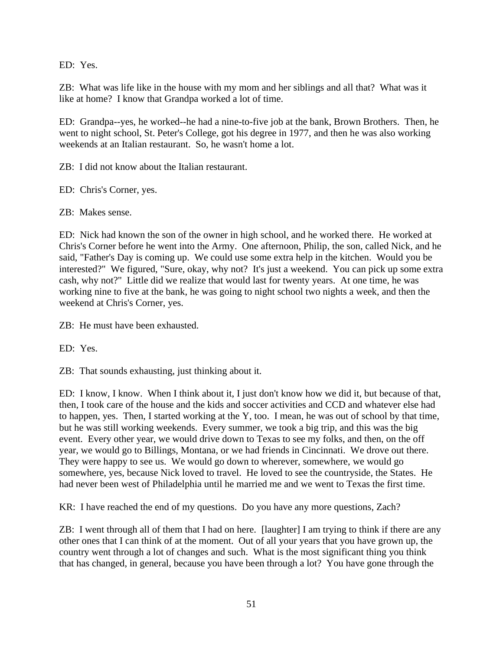ED: Yes.

ZB: What was life like in the house with my mom and her siblings and all that? What was it like at home? I know that Grandpa worked a lot of time.

ED: Grandpa--yes, he worked--he had a nine-to-five job at the bank, Brown Brothers. Then, he went to night school, St. Peter's College, got his degree in 1977, and then he was also working weekends at an Italian restaurant. So, he wasn't home a lot.

ZB: I did not know about the Italian restaurant.

ED: Chris's Corner, yes.

ZB: Makes sense.

ED: Nick had known the son of the owner in high school, and he worked there. He worked at Chris's Corner before he went into the Army. One afternoon, Philip, the son, called Nick, and he said, "Father's Day is coming up. We could use some extra help in the kitchen. Would you be interested?" We figured, "Sure, okay, why not? It's just a weekend. You can pick up some extra cash, why not?" Little did we realize that would last for twenty years. At one time, he was working nine to five at the bank, he was going to night school two nights a week, and then the weekend at Chris's Corner, yes.

ZB: He must have been exhausted.

ED: Yes.

ZB: That sounds exhausting, just thinking about it.

ED: I know, I know. When I think about it, I just don't know how we did it, but because of that, then, I took care of the house and the kids and soccer activities and CCD and whatever else had to happen, yes. Then, I started working at the Y, too. I mean, he was out of school by that time, but he was still working weekends. Every summer, we took a big trip, and this was the big event. Every other year, we would drive down to Texas to see my folks, and then, on the off year, we would go to Billings, Montana, or we had friends in Cincinnati. We drove out there. They were happy to see us. We would go down to wherever, somewhere, we would go somewhere, yes, because Nick loved to travel. He loved to see the countryside, the States. He had never been west of Philadelphia until he married me and we went to Texas the first time.

KR: I have reached the end of my questions. Do you have any more questions, Zach?

ZB: I went through all of them that I had on here. [laughter] I am trying to think if there are any other ones that I can think of at the moment. Out of all your years that you have grown up, the country went through a lot of changes and such. What is the most significant thing you think that has changed, in general, because you have been through a lot? You have gone through the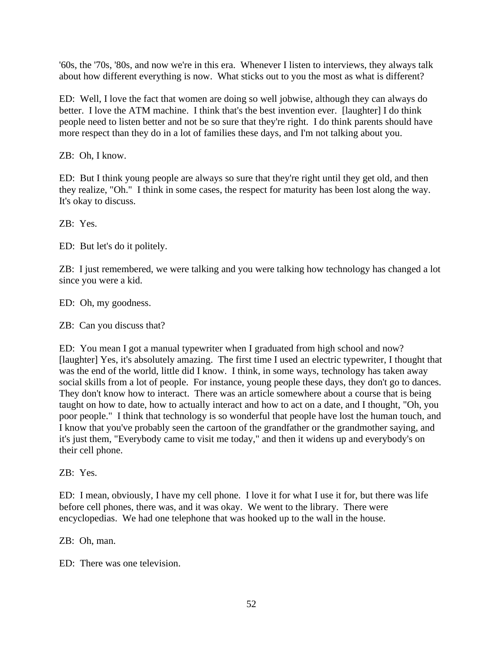'60s, the '70s, '80s, and now we're in this era. Whenever I listen to interviews, they always talk about how different everything is now. What sticks out to you the most as what is different?

ED: Well, I love the fact that women are doing so well jobwise, although they can always do better. I love the ATM machine. I think that's the best invention ever. [laughter] I do think people need to listen better and not be so sure that they're right. I do think parents should have more respect than they do in a lot of families these days, and I'm not talking about you.

ZB: Oh, I know.

ED: But I think young people are always so sure that they're right until they get old, and then they realize, "Oh." I think in some cases, the respect for maturity has been lost along the way. It's okay to discuss.

ZB: Yes.

ED: But let's do it politely.

ZB: I just remembered, we were talking and you were talking how technology has changed a lot since you were a kid.

ED: Oh, my goodness.

ZB: Can you discuss that?

ED: You mean I got a manual typewriter when I graduated from high school and now? [laughter] Yes, it's absolutely amazing. The first time I used an electric typewriter, I thought that was the end of the world, little did I know. I think, in some ways, technology has taken away social skills from a lot of people. For instance, young people these days, they don't go to dances. They don't know how to interact. There was an article somewhere about a course that is being taught on how to date, how to actually interact and how to act on a date, and I thought, "Oh, you poor people." I think that technology is so wonderful that people have lost the human touch, and I know that you've probably seen the cartoon of the grandfather or the grandmother saying, and it's just them, "Everybody came to visit me today," and then it widens up and everybody's on their cell phone.

ZB: Yes.

ED: I mean, obviously, I have my cell phone. I love it for what I use it for, but there was life before cell phones, there was, and it was okay. We went to the library. There were encyclopedias. We had one telephone that was hooked up to the wall in the house.

ZB: Oh, man.

ED: There was one television.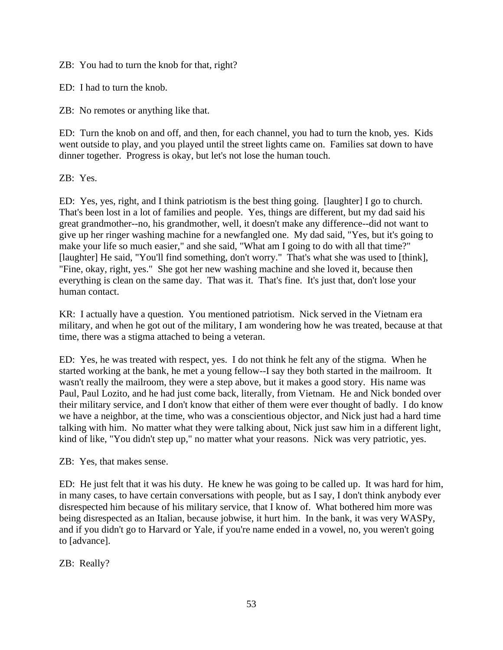ZB: You had to turn the knob for that, right?

ED: I had to turn the knob.

ZB: No remotes or anything like that.

ED: Turn the knob on and off, and then, for each channel, you had to turn the knob, yes. Kids went outside to play, and you played until the street lights came on. Families sat down to have dinner together. Progress is okay, but let's not lose the human touch.

ZB: Yes.

ED: Yes, yes, right, and I think patriotism is the best thing going. [laughter] I go to church. That's been lost in a lot of families and people. Yes, things are different, but my dad said his great grandmother--no, his grandmother, well, it doesn't make any difference--did not want to give up her ringer washing machine for a newfangled one. My dad said, "Yes, but it's going to make your life so much easier," and she said, "What am I going to do with all that time?" [laughter] He said, "You'll find something, don't worry." That's what she was used to [think], "Fine, okay, right, yes." She got her new washing machine and she loved it, because then everything is clean on the same day. That was it. That's fine. It's just that, don't lose your human contact.

KR: I actually have a question. You mentioned patriotism. Nick served in the Vietnam era military, and when he got out of the military, I am wondering how he was treated, because at that time, there was a stigma attached to being a veteran.

ED: Yes, he was treated with respect, yes. I do not think he felt any of the stigma. When he started working at the bank, he met a young fellow--I say they both started in the mailroom. It wasn't really the mailroom, they were a step above, but it makes a good story. His name was Paul, Paul Lozito, and he had just come back, literally, from Vietnam. He and Nick bonded over their military service, and I don't know that either of them were ever thought of badly. I do know we have a neighbor, at the time, who was a conscientious objector, and Nick just had a hard time talking with him. No matter what they were talking about, Nick just saw him in a different light, kind of like, "You didn't step up," no matter what your reasons. Nick was very patriotic, yes.

ZB: Yes, that makes sense.

ED: He just felt that it was his duty. He knew he was going to be called up. It was hard for him, in many cases, to have certain conversations with people, but as I say, I don't think anybody ever disrespected him because of his military service, that I know of. What bothered him more was being disrespected as an Italian, because jobwise, it hurt him. In the bank, it was very WASPy, and if you didn't go to Harvard or Yale, if you're name ended in a vowel, no, you weren't going to [advance].

ZB: Really?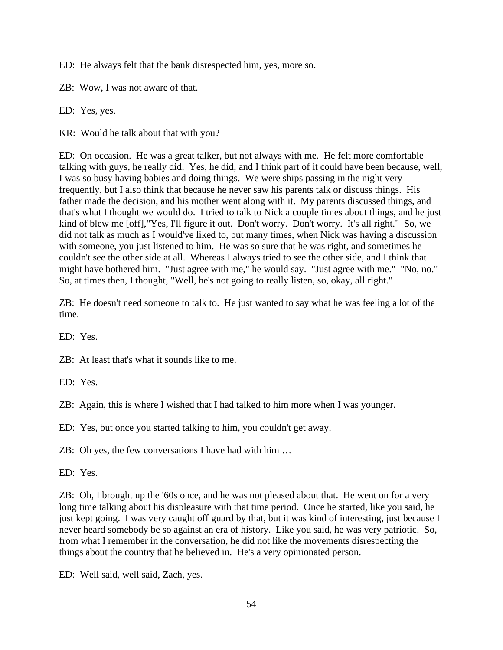ED: He always felt that the bank disrespected him, yes, more so.

ZB: Wow, I was not aware of that.

ED: Yes, yes.

KR: Would he talk about that with you?

ED: On occasion. He was a great talker, but not always with me. He felt more comfortable talking with guys, he really did. Yes, he did, and I think part of it could have been because, well, I was so busy having babies and doing things. We were ships passing in the night very frequently, but I also think that because he never saw his parents talk or discuss things. His father made the decision, and his mother went along with it. My parents discussed things, and that's what I thought we would do. I tried to talk to Nick a couple times about things, and he just kind of blew me [off],"Yes, I'll figure it out. Don't worry. Don't worry. It's all right." So, we did not talk as much as I would've liked to, but many times, when Nick was having a discussion with someone, you just listened to him. He was so sure that he was right, and sometimes he couldn't see the other side at all. Whereas I always tried to see the other side, and I think that might have bothered him. "Just agree with me," he would say. "Just agree with me." "No, no." So, at times then, I thought, "Well, he's not going to really listen, so, okay, all right."

ZB: He doesn't need someone to talk to. He just wanted to say what he was feeling a lot of the time.

ED: Yes.

ZB: At least that's what it sounds like to me.

ED: Yes.

ZB: Again, this is where I wished that I had talked to him more when I was younger.

ED: Yes, but once you started talking to him, you couldn't get away.

ZB: Oh yes, the few conversations I have had with him …

ED: Yes.

ZB: Oh, I brought up the '60s once, and he was not pleased about that. He went on for a very long time talking about his displeasure with that time period. Once he started, like you said, he just kept going. I was very caught off guard by that, but it was kind of interesting, just because I never heard somebody be so against an era of history. Like you said, he was very patriotic. So, from what I remember in the conversation, he did not like the movements disrespecting the things about the country that he believed in. He's a very opinionated person.

ED: Well said, well said, Zach, yes.